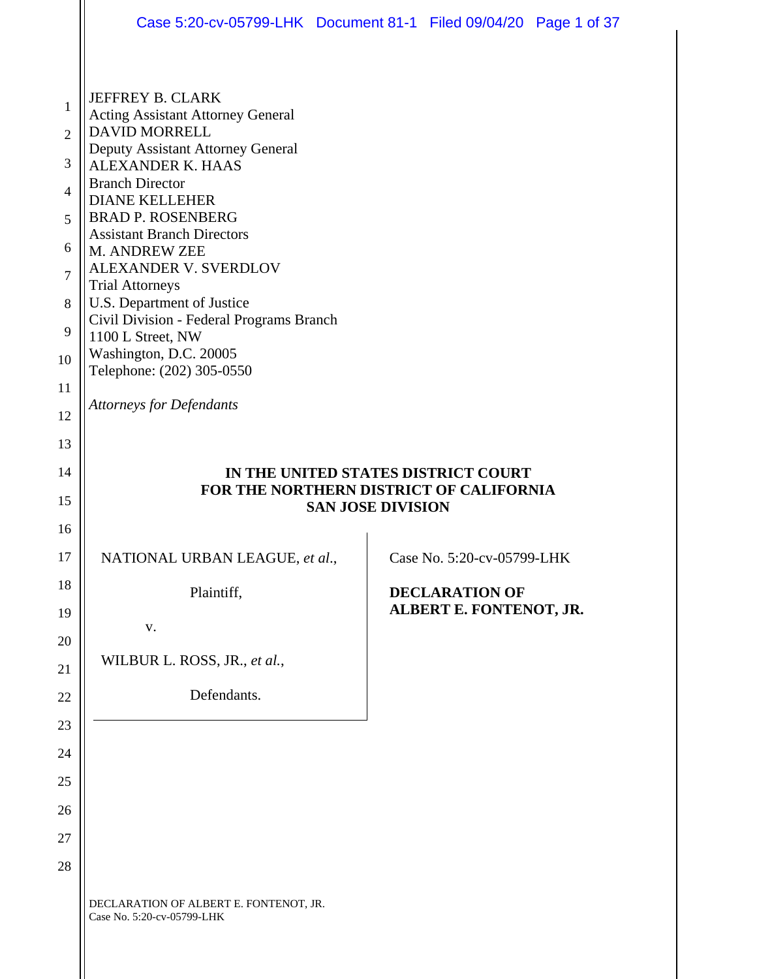|                                                                                             | Case 5:20-cv-05799-LHK Document 81-1 Filed 09/04/20 Page 1 of 37                                                                                                                                                                                                                                                                                                                                                        |  |                                                  |  |  |  |  |
|---------------------------------------------------------------------------------------------|-------------------------------------------------------------------------------------------------------------------------------------------------------------------------------------------------------------------------------------------------------------------------------------------------------------------------------------------------------------------------------------------------------------------------|--|--------------------------------------------------|--|--|--|--|
|                                                                                             |                                                                                                                                                                                                                                                                                                                                                                                                                         |  |                                                  |  |  |  |  |
| $\mathbf{1}$<br>$\overline{2}$<br>3<br>$\overline{4}$<br>5<br>6<br>$\overline{7}$<br>8<br>9 | JEFFREY B. CLARK<br><b>Acting Assistant Attorney General</b><br><b>DAVID MORRELL</b><br>Deputy Assistant Attorney General<br><b>ALEXANDER K. HAAS</b><br><b>Branch Director</b><br><b>DIANE KELLEHER</b><br><b>BRAD P. ROSENBERG</b><br><b>Assistant Branch Directors</b><br>M. ANDREW ZEE<br>ALEXANDER V. SVERDLOV<br><b>Trial Attorneys</b><br>U.S. Department of Justice<br>Civil Division - Federal Programs Branch |  |                                                  |  |  |  |  |
| 10                                                                                          | 1100 L Street, NW<br>Washington, D.C. 20005<br>Telephone: (202) 305-0550                                                                                                                                                                                                                                                                                                                                                |  |                                                  |  |  |  |  |
| 11<br>12                                                                                    | <b>Attorneys for Defendants</b>                                                                                                                                                                                                                                                                                                                                                                                         |  |                                                  |  |  |  |  |
| 13<br>14<br>15<br>16                                                                        | IN THE UNITED STATES DISTRICT COURT<br>FOR THE NORTHERN DISTRICT OF CALIFORNIA<br><b>SAN JOSE DIVISION</b>                                                                                                                                                                                                                                                                                                              |  |                                                  |  |  |  |  |
| 17                                                                                          | NATIONAL URBAN LEAGUE, et al.,                                                                                                                                                                                                                                                                                                                                                                                          |  | Case No. 5:20-cv-05799-LHK                       |  |  |  |  |
| 18<br>19<br>20                                                                              | Plaintiff,<br>V.                                                                                                                                                                                                                                                                                                                                                                                                        |  | <b>DECLARATION OF</b><br>ALBERT E. FONTENOT, JR. |  |  |  |  |
| 21                                                                                          | WILBUR L. ROSS, JR., et al.,                                                                                                                                                                                                                                                                                                                                                                                            |  |                                                  |  |  |  |  |
| 22                                                                                          | Defendants.                                                                                                                                                                                                                                                                                                                                                                                                             |  |                                                  |  |  |  |  |
| 23                                                                                          |                                                                                                                                                                                                                                                                                                                                                                                                                         |  |                                                  |  |  |  |  |
| 24                                                                                          |                                                                                                                                                                                                                                                                                                                                                                                                                         |  |                                                  |  |  |  |  |
| 25                                                                                          |                                                                                                                                                                                                                                                                                                                                                                                                                         |  |                                                  |  |  |  |  |
|                                                                                             |                                                                                                                                                                                                                                                                                                                                                                                                                         |  |                                                  |  |  |  |  |
| 26                                                                                          |                                                                                                                                                                                                                                                                                                                                                                                                                         |  |                                                  |  |  |  |  |
| 27<br>28                                                                                    |                                                                                                                                                                                                                                                                                                                                                                                                                         |  |                                                  |  |  |  |  |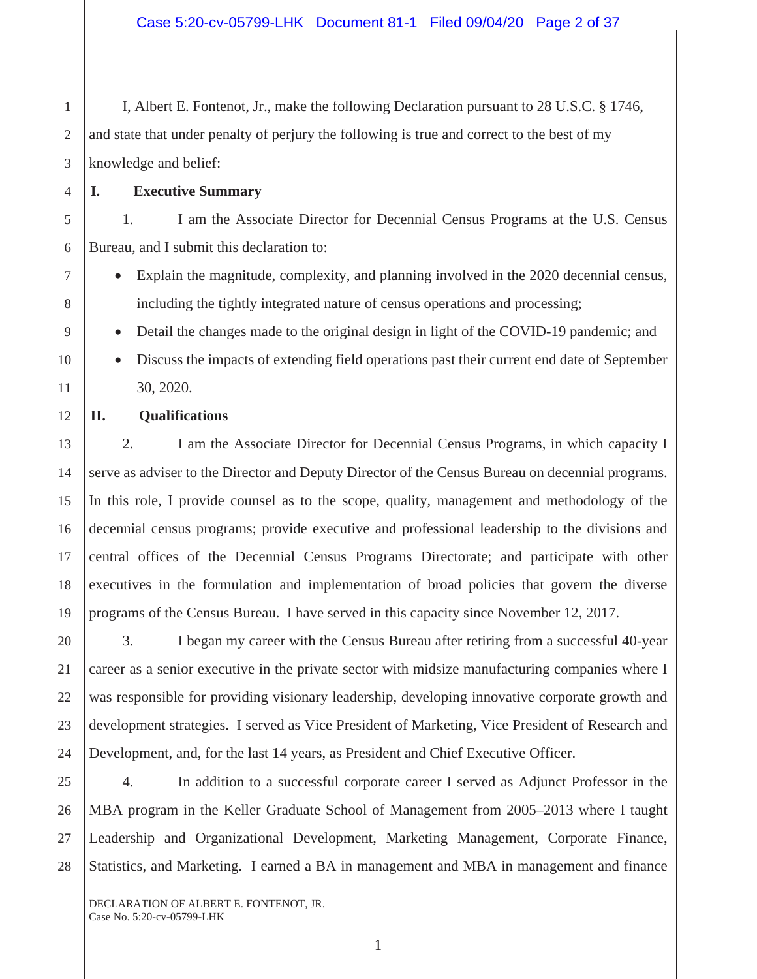I, Albert E. Fontenot, Jr., make the following Declaration pursuant to 28 U.S.C. § 1746, and state that under penalty of perjury the following is true and correct to the best of my knowledge and belief:

**I. Executive Summary**

1

1. I am the Associate Director for Decennial Census Programs at the U.S. Census Bureau, and I submit this declaration to:

- Explain the magnitude, complexity, and planning involved in the 2020 decennial census, including the tightly integrated nature of census operations and processing;
- Detail the changes made to the original design in light of the COVID-19 pandemic; and
- Discuss the impacts of extending field operations past their current end date of September 30, 2020.
- **II. Qualifications**

2. I am the Associate Director for Decennial Census Programs, in which capacity I serve as adviser to the Director and Deputy Director of the Census Bureau on decennial programs. In this role, I provide counsel as to the scope, quality, management and methodology of the decennial census programs; provide executive and professional leadership to the divisions and central offices of the Decennial Census Programs Directorate; and participate with other executives in the formulation and implementation of broad policies that govern the diverse programs of the Census Bureau. I have served in this capacity since November 12, 2017.

3. I began my career with the Census Bureau after retiring from a successful 40-year career as a senior executive in the private sector with midsize manufacturing companies where I was responsible for providing visionary leadership, developing innovative corporate growth and development strategies. I served as Vice President of Marketing, Vice President of Research and Development, and, for the last 14 years, as President and Chief Executive Officer.

4. In addition to a successful corporate career I served as Adjunct Professor in the MBA program in the Keller Graduate School of Management from 2005–2013 where I taught Leadership and Organizational Development, Marketing Management, Corporate Finance, Statistics, and Marketing. I earned a BA in management and MBA in management and finance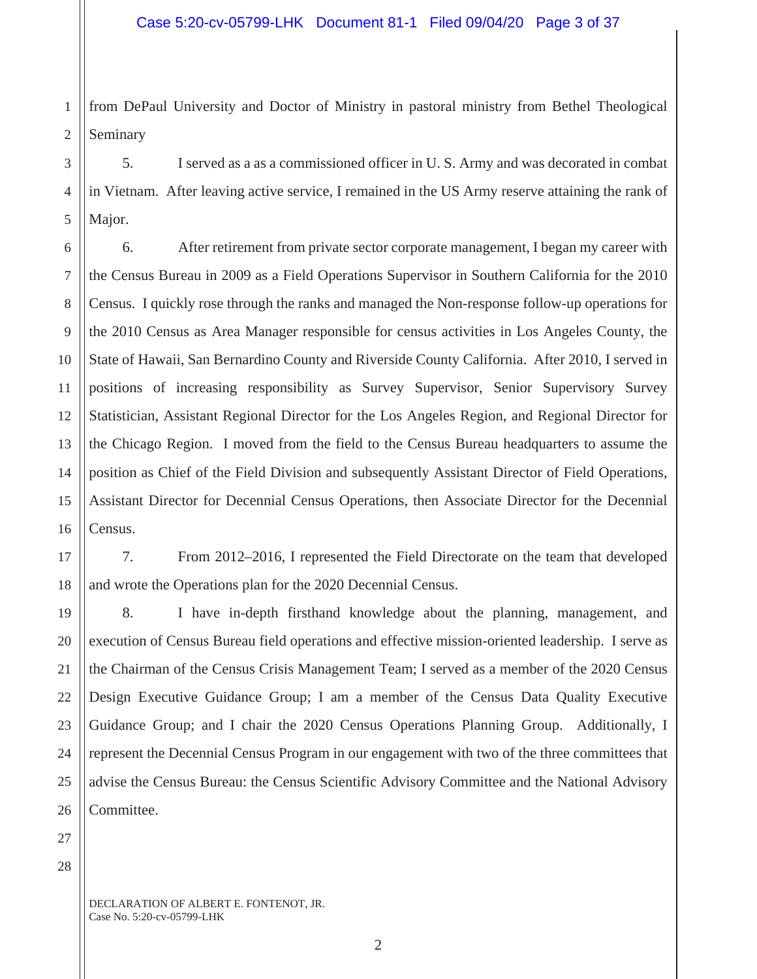1 2 from DePaul University and Doctor of Ministry in pastoral ministry from Bethel Theological Seminary

5. I served as a as a commissioned officer in U. S. Army and was decorated in combat in Vietnam. After leaving active service, I remained in the US Army reserve attaining the rank of Major.

6 10 12 13 14 15 16 6. After retirement from private sector corporate management, I began my career with the Census Bureau in 2009 as a Field Operations Supervisor in Southern California for the 2010 Census. I quickly rose through the ranks and managed the Non-response follow-up operations for the 2010 Census as Area Manager responsible for census activities in Los Angeles County, the State of Hawaii, San Bernardino County and Riverside County California. After 2010, I served in positions of increasing responsibility as Survey Supervisor, Senior Supervisory Survey Statistician, Assistant Regional Director for the Los Angeles Region, and Regional Director for the Chicago Region. I moved from the field to the Census Bureau headquarters to assume the position as Chief of the Field Division and subsequently Assistant Director of Field Operations, Assistant Director for Decennial Census Operations, then Associate Director for the Decennial Census.

7. From 2012–2016, I represented the Field Directorate on the team that developed and wrote the Operations plan for the 2020 Decennial Census.

8. I have in-depth firsthand knowledge about the planning, management, and execution of Census Bureau field operations and effective mission-oriented leadership. I serve as the Chairman of the Census Crisis Management Team; I served as a member of the 2020 Census Design Executive Guidance Group; I am a member of the Census Data Quality Executive Guidance Group; and I chair the 2020 Census Operations Planning Group. Additionally, I represent the Decennial Census Program in our engagement with two of the three committees that advise the Census Bureau: the Census Scientific Advisory Committee and the National Advisory Committee.

28

3

4

5

7

8

9

11

17

18

19

20

21

22

23

24

25

26

27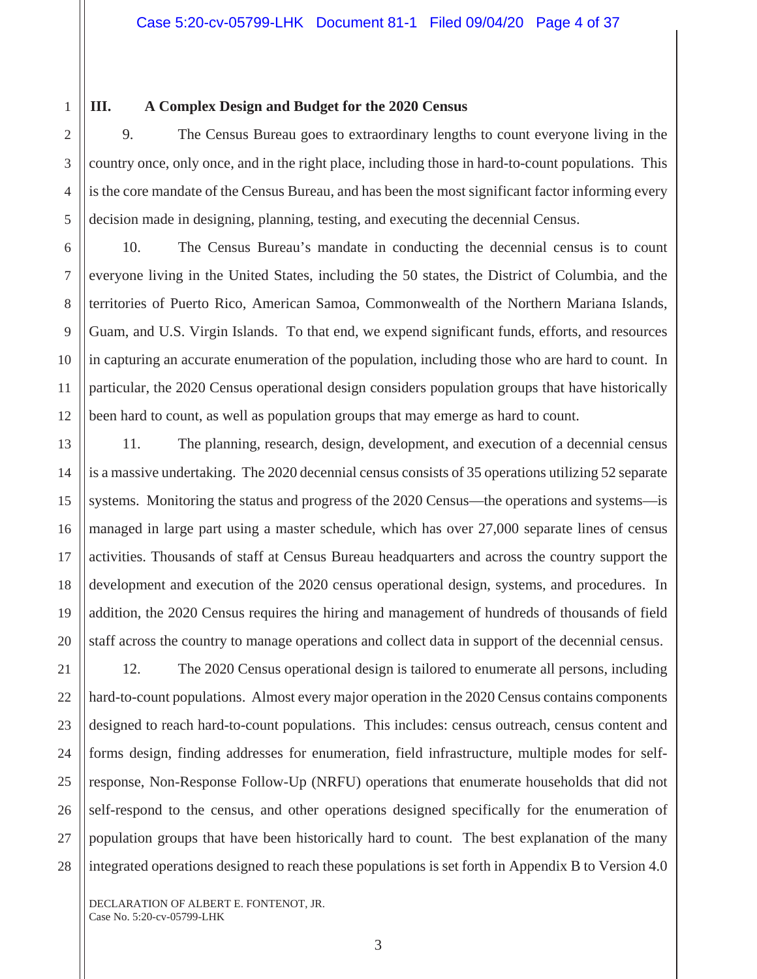1

2

3

4

5

7

11

13

14

15

16

17

18

19

21

22

23

24

25

26

27

28

# **III. A Complex Design and Budget for the 2020 Census**

9. The Census Bureau goes to extraordinary lengths to count everyone living in the country once, only once, and in the right place, including those in hard-to-count populations. This is the core mandate of the Census Bureau, and has been the most significant factor informing every decision made in designing, planning, testing, and executing the decennial Census.

6 8 9 10 12 10. The Census Bureau's mandate in conducting the decennial census is to count everyone living in the United States, including the 50 states, the District of Columbia, and the territories of Puerto Rico, American Samoa, Commonwealth of the Northern Mariana Islands, Guam, and U.S. Virgin Islands. To that end, we expend significant funds, efforts, and resources in capturing an accurate enumeration of the population, including those who are hard to count. In particular, the 2020 Census operational design considers population groups that have historically been hard to count, as well as population groups that may emerge as hard to count.

20 11. The planning, research, design, development, and execution of a decennial census is a massive undertaking. The 2020 decennial census consists of 35 operations utilizing 52 separate systems. Monitoring the status and progress of the 2020 Census—the operations and systems—is managed in large part using a master schedule, which has over 27,000 separate lines of census activities. Thousands of staff at Census Bureau headquarters and across the country support the development and execution of the 2020 census operational design, systems, and procedures. In addition, the 2020 Census requires the hiring and management of hundreds of thousands of field staff across the country to manage operations and collect data in support of the decennial census.

12. The 2020 Census operational design is tailored to enumerate all persons, including hard-to-count populations. Almost every major operation in the 2020 Census contains components designed to reach hard-to-count populations. This includes: census outreach, census content and forms design, finding addresses for enumeration, field infrastructure, multiple modes for selfresponse, Non-Response Follow-Up (NRFU) operations that enumerate households that did not self-respond to the census, and other operations designed specifically for the enumeration of population groups that have been historically hard to count. The best explanation of the many integrated operations designed to reach these populations is set forth in Appendix B to Version 4.0

DECLARATION OF ALBERT E. FONTENOT, JR. Case No. 5:20-cv-05799-LHK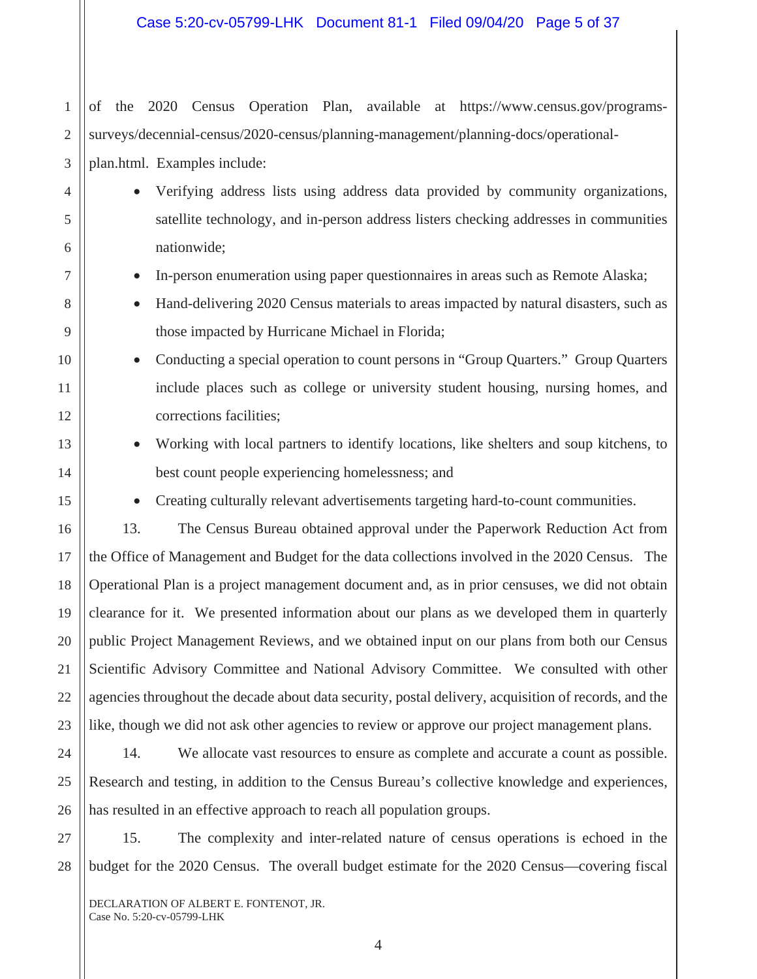of the 2020 Census Operation Plan, available at https://www.census.gov/programssurveys/decennial-census/2020-census/planning-management/planning-docs/operationalplan.html. Examples include:

• Verifying address lists using address data provided by community organizations, satellite technology, and in-person address listers checking addresses in communities nationwide;

- In-person enumeration using paper questionnaires in areas such as Remote Alaska;
- Hand-delivering 2020 Census materials to areas impacted by natural disasters, such as those impacted by Hurricane Michael in Florida;
- Conducting a special operation to count persons in "Group Quarters." Group Quarters include places such as college or university student housing, nursing homes, and corrections facilities;
	- Working with local partners to identify locations, like shelters and soup kitchens, to best count people experiencing homelessness; and
	- Creating culturally relevant advertisements targeting hard-to-count communities.

13. The Census Bureau obtained approval under the Paperwork Reduction Act from the Office of Management and Budget for the data collections involved in the 2020 Census. The Operational Plan is a project management document and, as in prior censuses, we did not obtain clearance for it. We presented information about our plans as we developed them in quarterly public Project Management Reviews, and we obtained input on our plans from both our Census Scientific Advisory Committee and National Advisory Committee. We consulted with other agencies throughout the decade about data security, postal delivery, acquisition of records, and the like, though we did not ask other agencies to review or approve our project management plans.

14. We allocate vast resources to ensure as complete and accurate a count as possible. Research and testing, in addition to the Census Bureau's collective knowledge and experiences, has resulted in an effective approach to reach all population groups.

15. The complexity and inter-related nature of census operations is echoed in the budget for the 2020 Census. The overall budget estimate for the 2020 Census—covering fiscal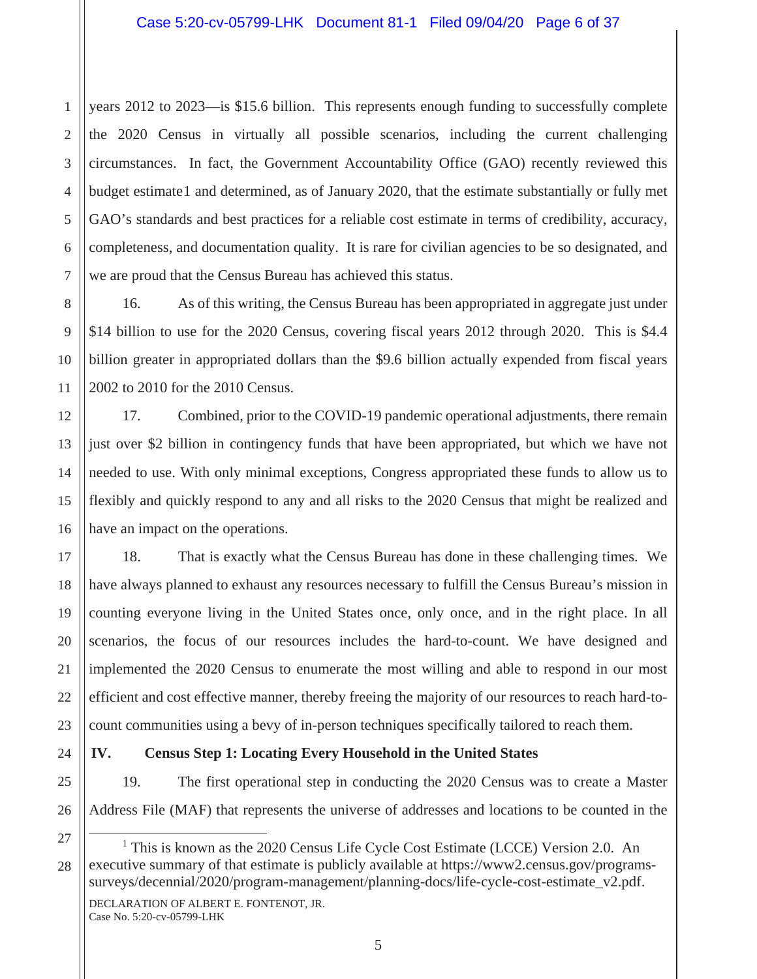2 years 2012 to 2023—is \$15.6 billion. This represents enough funding to successfully complete the 2020 Census in virtually all possible scenarios, including the current challenging circumstances. In fact, the Government Accountability Office (GAO) recently reviewed this budget estimate1 and determined, as of January 2020, that the estimate substantially or fully met GAO's standards and best practices for a reliable cost estimate in terms of credibility, accuracy, completeness, and documentation quality. It is rare for civilian agencies to be so designated, and we are proud that the Census Bureau has achieved this status.

16. As of this writing, the Census Bureau has been appropriated in aggregate just under \$14 billion to use for the 2020 Census, covering fiscal years 2012 through 2020. This is \$4.4 billion greater in appropriated dollars than the \$9.6 billion actually expended from fiscal years 2002 to 2010 for the 2010 Census.

17. Combined, prior to the COVID-19 pandemic operational adjustments, there remain just over \$2 billion in contingency funds that have been appropriated, but which we have not needed to use. With only minimal exceptions, Congress appropriated these funds to allow us to flexibly and quickly respond to any and all risks to the 2020 Census that might be realized and have an impact on the operations.

18. That is exactly what the Census Bureau has done in these challenging times. We have always planned to exhaust any resources necessary to fulfill the Census Bureau's mission in counting everyone living in the United States once, only once, and in the right place. In all scenarios, the focus of our resources includes the hard-to-count. We have designed and implemented the 2020 Census to enumerate the most willing and able to respond in our most efficient and cost effective manner, thereby freeing the majority of our resources to reach hard-tocount communities using a bevy of in-person techniques specifically tailored to reach them.

## **IV. Census Step 1: Locating Every Household in the United States**

19. The first operational step in conducting the 2020 Census was to create a Master Address File (MAF) that represents the universe of addresses and locations to be counted in the

DECLARATION OF ALBERT E. FONTENOT, JR. Case No. 5:20-cv-05799-LHK

1

<sup>&</sup>lt;sup>1</sup> This is known as the 2020 Census Life Cycle Cost Estimate (LCCE) Version 2.0. An executive summary of that estimate is publicly available at https://www2.census.gov/programssurveys/decennial/2020/program-management/planning-docs/life-cycle-cost-estimate\_v2.pdf.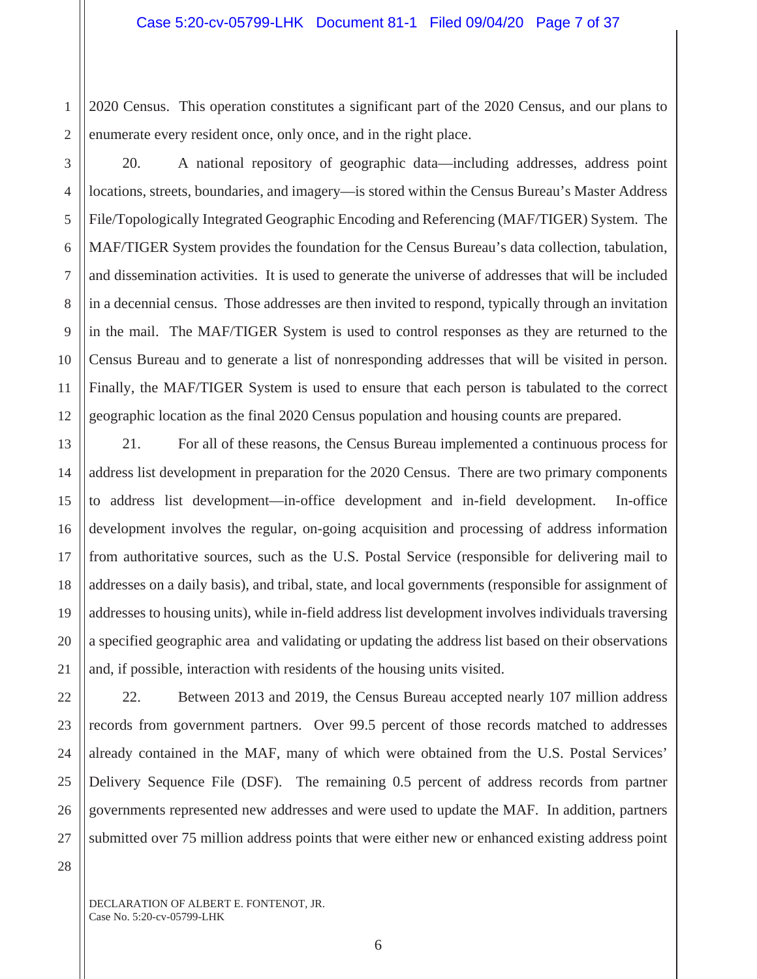1 2 2020 Census. This operation constitutes a significant part of the 2020 Census, and our plans to enumerate every resident once, only once, and in the right place.

3 4 5 6 7 8 9 10 11 12 20. A national repository of geographic data—including addresses, address point locations, streets, boundaries, and imagery—is stored within the Census Bureau's Master Address File/Topologically Integrated Geographic Encoding and Referencing (MAF/TIGER) System. The MAF/TIGER System provides the foundation for the Census Bureau's data collection, tabulation, and dissemination activities. It is used to generate the universe of addresses that will be included in a decennial census. Those addresses are then invited to respond, typically through an invitation in the mail. The MAF/TIGER System is used to control responses as they are returned to the Census Bureau and to generate a list of nonresponding addresses that will be visited in person. Finally, the MAF/TIGER System is used to ensure that each person is tabulated to the correct geographic location as the final 2020 Census population and housing counts are prepared.

21. For all of these reasons, the Census Bureau implemented a continuous process for address list development in preparation for the 2020 Census. There are two primary components to address list development—in-office development and in-field development. In-office development involves the regular, on-going acquisition and processing of address information from authoritative sources, such as the U.S. Postal Service (responsible for delivering mail to addresses on a daily basis), and tribal, state, and local governments (responsible for assignment of addresses to housing units), while in-field address list development involves individuals traversing a specified geographic area and validating or updating the address list based on their observations and, if possible, interaction with residents of the housing units visited.

22. Between 2013 and 2019, the Census Bureau accepted nearly 107 million address records from government partners. Over 99.5 percent of those records matched to addresses already contained in the MAF, many of which were obtained from the U.S. Postal Services' Delivery Sequence File (DSF). The remaining 0.5 percent of address records from partner governments represented new addresses and were used to update the MAF. In addition, partners submitted over 75 million address points that were either new or enhanced existing address point

DECLARATION OF ALBERT E. FONTENOT, JR. Case No. 5:20-cv-05799-LHK

13

14

15

16

17

18

19

20

21

22

23

24

25

26

27

28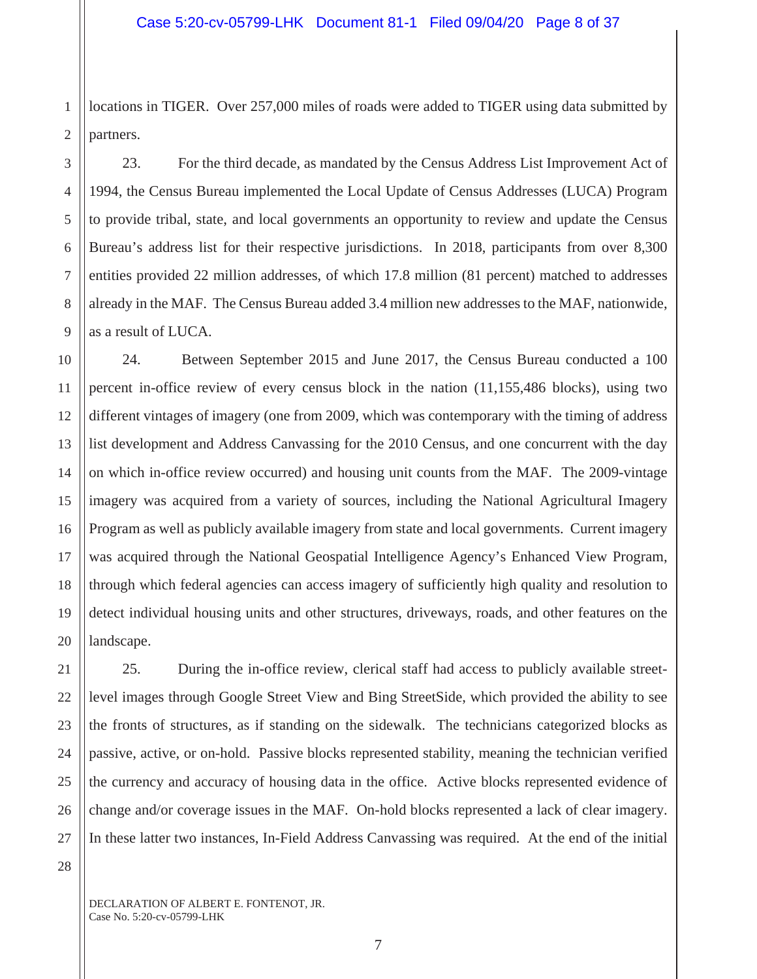2 locations in TIGER. Over 257,000 miles of roads were added to TIGER using data submitted by partners.

23. For the third decade, as mandated by the Census Address List Improvement Act of 1994, the Census Bureau implemented the Local Update of Census Addresses (LUCA) Program to provide tribal, state, and local governments an opportunity to review and update the Census Bureau's address list for their respective jurisdictions. In 2018, participants from over 8,300 entities provided 22 million addresses, of which 17.8 million (81 percent) matched to addresses already in the MAF. The Census Bureau added 3.4 million new addresses to the MAF, nationwide, as a result of LUCA.

10 12 13 14 15 16 18 19 20 24. Between September 2015 and June 2017, the Census Bureau conducted a 100 percent in-office review of every census block in the nation (11,155,486 blocks), using two different vintages of imagery (one from 2009, which was contemporary with the timing of address list development and Address Canvassing for the 2010 Census, and one concurrent with the day on which in-office review occurred) and housing unit counts from the MAF. The 2009-vintage imagery was acquired from a variety of sources, including the National Agricultural Imagery Program as well as publicly available imagery from state and local governments. Current imagery was acquired through the National Geospatial Intelligence Agency's Enhanced View Program, through which federal agencies can access imagery of sufficiently high quality and resolution to detect individual housing units and other structures, driveways, roads, and other features on the landscape.

25. During the in-office review, clerical staff had access to publicly available streetlevel images through Google Street View and Bing StreetSide, which provided the ability to see the fronts of structures, as if standing on the sidewalk. The technicians categorized blocks as passive, active, or on-hold. Passive blocks represented stability, meaning the technician verified the currency and accuracy of housing data in the office. Active blocks represented evidence of change and/or coverage issues in the MAF. On-hold blocks represented a lack of clear imagery. In these latter two instances, In-Field Address Canvassing was required. At the end of the initial

28

1

3

4

5

6

7

8

9

11

17

21

22

23

24

25

26

27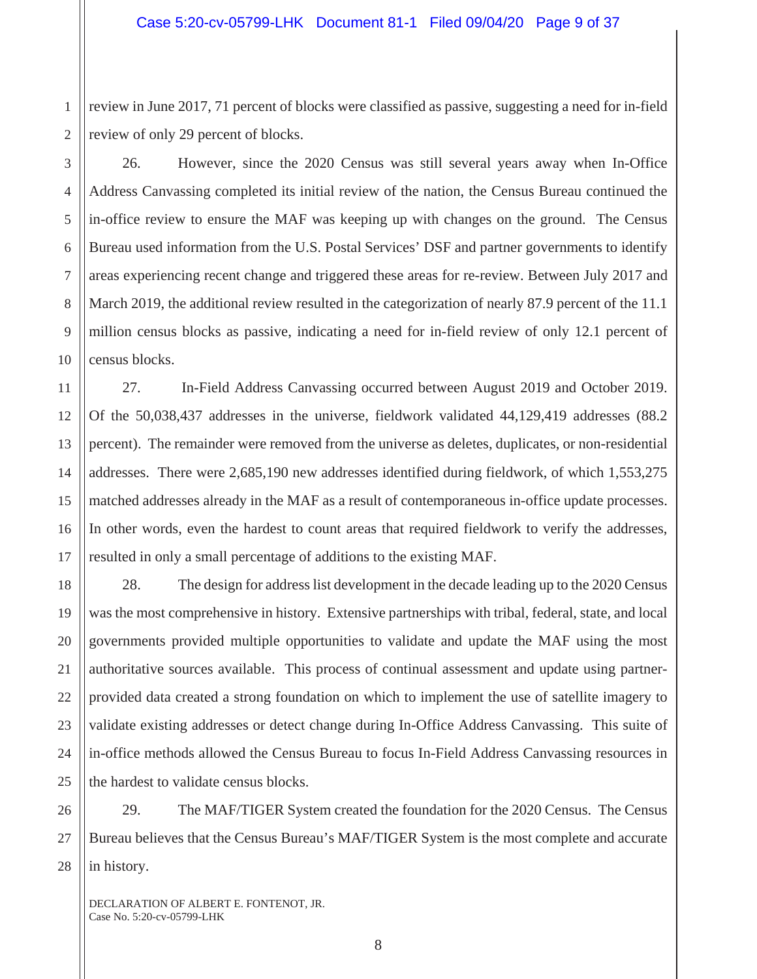1 2 review in June 2017, 71 percent of blocks were classified as passive, suggesting a need for in-field review of only 29 percent of blocks.

26. However, since the 2020 Census was still several years away when In-Office Address Canvassing completed its initial review of the nation, the Census Bureau continued the in-office review to ensure the MAF was keeping up with changes on the ground. The Census Bureau used information from the U.S. Postal Services' DSF and partner governments to identify areas experiencing recent change and triggered these areas for re-review. Between July 2017 and March 2019, the additional review resulted in the categorization of nearly 87.9 percent of the 11.1 million census blocks as passive, indicating a need for in-field review of only 12.1 percent of census blocks.

27. In-Field Address Canvassing occurred between August 2019 and October 2019. Of the 50,038,437 addresses in the universe, fieldwork validated 44,129,419 addresses (88.2 percent). The remainder were removed from the universe as deletes, duplicates, or non-residential addresses. There were 2,685,190 new addresses identified during fieldwork, of which 1,553,275 matched addresses already in the MAF as a result of contemporaneous in-office update processes. In other words, even the hardest to count areas that required fieldwork to verify the addresses, resulted in only a small percentage of additions to the existing MAF.

28. The design for address list development in the decade leading up to the 2020 Census was the most comprehensive in history. Extensive partnerships with tribal, federal, state, and local governments provided multiple opportunities to validate and update the MAF using the most authoritative sources available. This process of continual assessment and update using partnerprovided data created a strong foundation on which to implement the use of satellite imagery to validate existing addresses or detect change during In-Office Address Canvassing. This suite of in-office methods allowed the Census Bureau to focus In-Field Address Canvassing resources in the hardest to validate census blocks.

29. The MAF/TIGER System created the foundation for the 2020 Census. The Census Bureau believes that the Census Bureau's MAF/TIGER System is the most complete and accurate in history.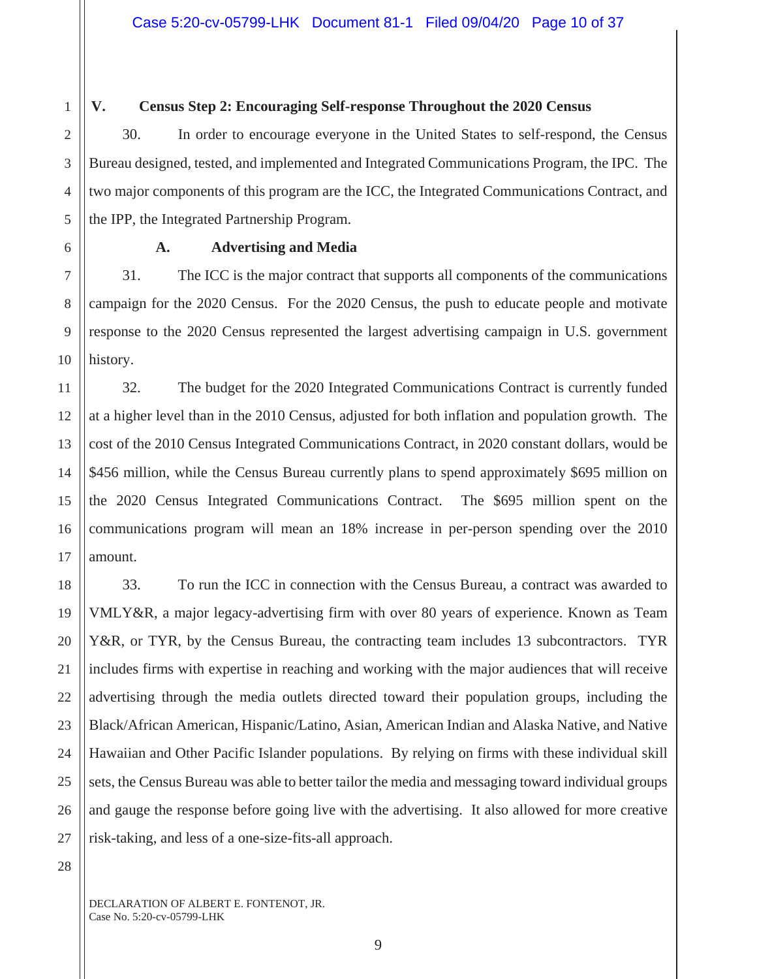5

6

7

8

9

10

11

12

13

14

15

16

17

18

19

20

21

22

23

24

25

26

27

### **V. Census Step 2: Encouraging Self-response Throughout the 2020 Census**

30. In order to encourage everyone in the United States to self-respond, the Census Bureau designed, tested, and implemented and Integrated Communications Program, the IPC. The two major components of this program are the ICC, the Integrated Communications Contract, and the IPP, the Integrated Partnership Program.

## **A. Advertising and Media**

31. The ICC is the major contract that supports all components of the communications campaign for the 2020 Census. For the 2020 Census, the push to educate people and motivate response to the 2020 Census represented the largest advertising campaign in U.S. government history.

32. The budget for the 2020 Integrated Communications Contract is currently funded at a higher level than in the 2010 Census, adjusted for both inflation and population growth. The cost of the 2010 Census Integrated Communications Contract, in 2020 constant dollars, would be \$456 million, while the Census Bureau currently plans to spend approximately \$695 million on the 2020 Census Integrated Communications Contract. The \$695 million spent on the communications program will mean an 18% increase in per-person spending over the 2010 amount.

33. To run the ICC in connection with the Census Bureau, a contract was awarded to VMLY&R, a major legacy-advertising firm with over 80 years of experience. Known as Team Y&R, or TYR, by the Census Bureau, the contracting team includes 13 subcontractors. TYR includes firms with expertise in reaching and working with the major audiences that will receive advertising through the media outlets directed toward their population groups, including the Black/African American, Hispanic/Latino, Asian, American Indian and Alaska Native, and Native Hawaiian and Other Pacific Islander populations. By relying on firms with these individual skill sets, the Census Bureau was able to better tailor the media and messaging toward individual groups and gauge the response before going live with the advertising. It also allowed for more creative risk-taking, and less of a one-size-fits-all approach.

28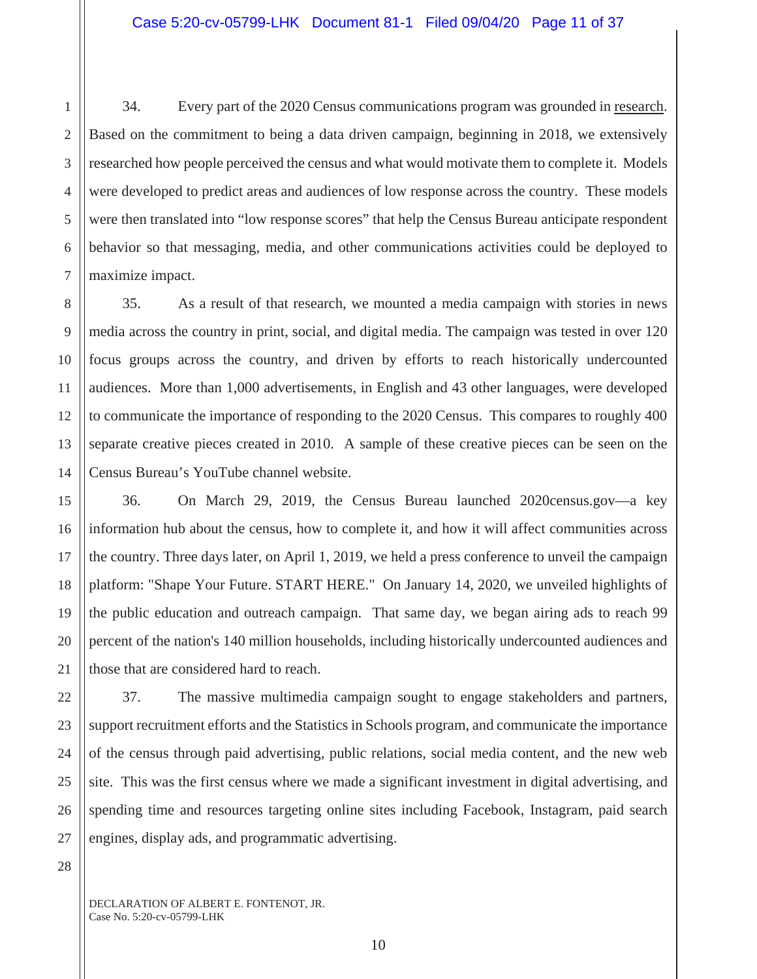6 34. Every part of the 2020 Census communications program was grounded in research. Based on the commitment to being a data driven campaign, beginning in 2018, we extensively researched how people perceived the census and what would motivate them to complete it. Models were developed to predict areas and audiences of low response across the country. These models were then translated into "low response scores" that help the Census Bureau anticipate respondent behavior so that messaging, media, and other communications activities could be deployed to maximize impact.

35. As a result of that research, we mounted a media campaign with stories in news media across the country in print, social, and digital media. The campaign was tested in over 120 focus groups across the country, and driven by efforts to reach historically undercounted audiences. More than 1,000 advertisements, in English and 43 other languages, were developed to communicate the importance of responding to the 2020 Census. This compares to roughly 400 separate creative pieces created in 2010. A sample of these creative pieces can be seen on the Census Bureau's YouTube channel website.

36. On March 29, 2019, the Census Bureau launched 2020census.gov—a key information hub about the census, how to complete it, and how it will affect communities across the country. Three days later, on April 1, 2019, we held a press conference to unveil the campaign platform: "Shape Your Future. START HERE." On January 14, 2020, we unveiled highlights of the public education and outreach campaign. That same day, we began airing ads to reach 99 percent of the nation's 140 million households, including historically undercounted audiences and those that are considered hard to reach.

37. The massive multimedia campaign sought to engage stakeholders and partners, support recruitment efforts and the Statistics in Schools program, and communicate the importance of the census through paid advertising, public relations, social media content, and the new web site. This was the first census where we made a significant investment in digital advertising, and spending time and resources targeting online sites including Facebook, Instagram, paid search engines, display ads, and programmatic advertising.

28

1

2

3

4

5

7

8

9

10

11

12

13

14

15

16

17

18

19

20

21

22

23

24

25

26

27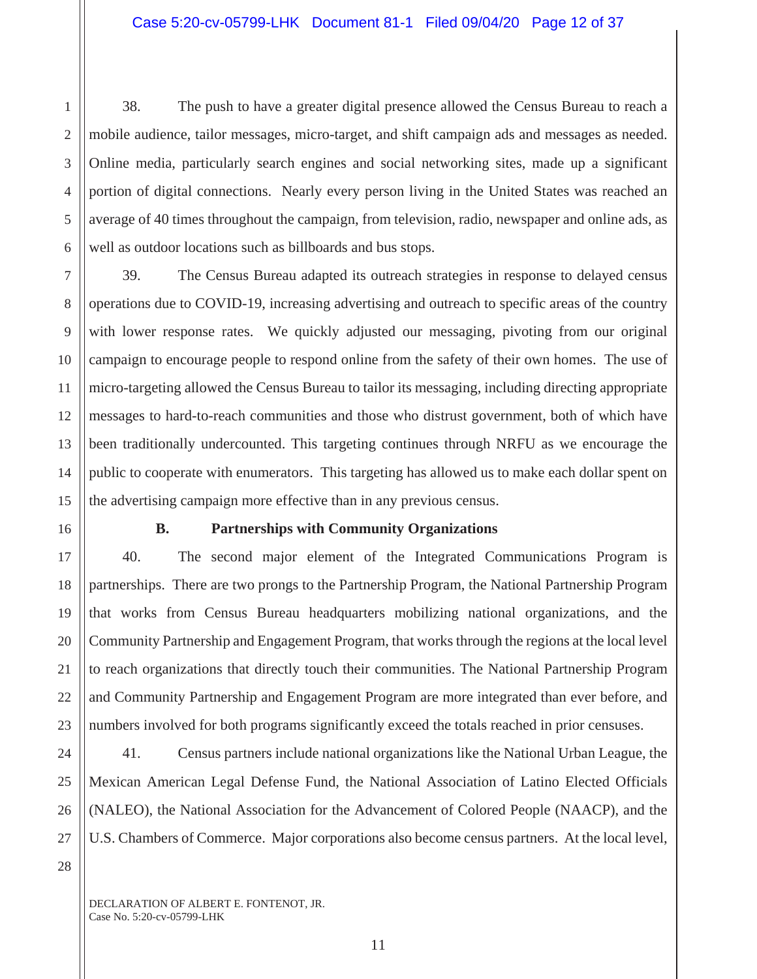38. The push to have a greater digital presence allowed the Census Bureau to reach a mobile audience, tailor messages, micro-target, and shift campaign ads and messages as needed. Online media, particularly search engines and social networking sites, made up a significant portion of digital connections. Nearly every person living in the United States was reached an average of 40 times throughout the campaign, from television, radio, newspaper and online ads, as well as outdoor locations such as billboards and bus stops.

39. The Census Bureau adapted its outreach strategies in response to delayed census operations due to COVID-19, increasing advertising and outreach to specific areas of the country with lower response rates. We quickly adjusted our messaging, pivoting from our original campaign to encourage people to respond online from the safety of their own homes. The use of micro-targeting allowed the Census Bureau to tailor its messaging, including directing appropriate messages to hard-to-reach communities and those who distrust government, both of which have been traditionally undercounted. This targeting continues through NRFU as we encourage the public to cooperate with enumerators. This targeting has allowed us to make each dollar spent on the advertising campaign more effective than in any previous census.

1

2

3

4

5

6

7

8

9

10

11

12

13

14

15

16

17

18

19

20

21

22

23

24

25

26

27

### **B. Partnerships with Community Organizations**

40. The second major element of the Integrated Communications Program is partnerships. There are two prongs to the Partnership Program, the National Partnership Program that works from Census Bureau headquarters mobilizing national organizations, and the Community Partnership and Engagement Program, that works through the regions at the local level to reach organizations that directly touch their communities. The National Partnership Program and Community Partnership and Engagement Program are more integrated than ever before, and numbers involved for both programs significantly exceed the totals reached in prior censuses.

41. Census partners include national organizations like the National Urban League, the Mexican American Legal Defense Fund, the National Association of Latino Elected Officials (NALEO), the National Association for the Advancement of Colored People (NAACP), and the U.S. Chambers of Commerce. Major corporations also become census partners. At the local level,

28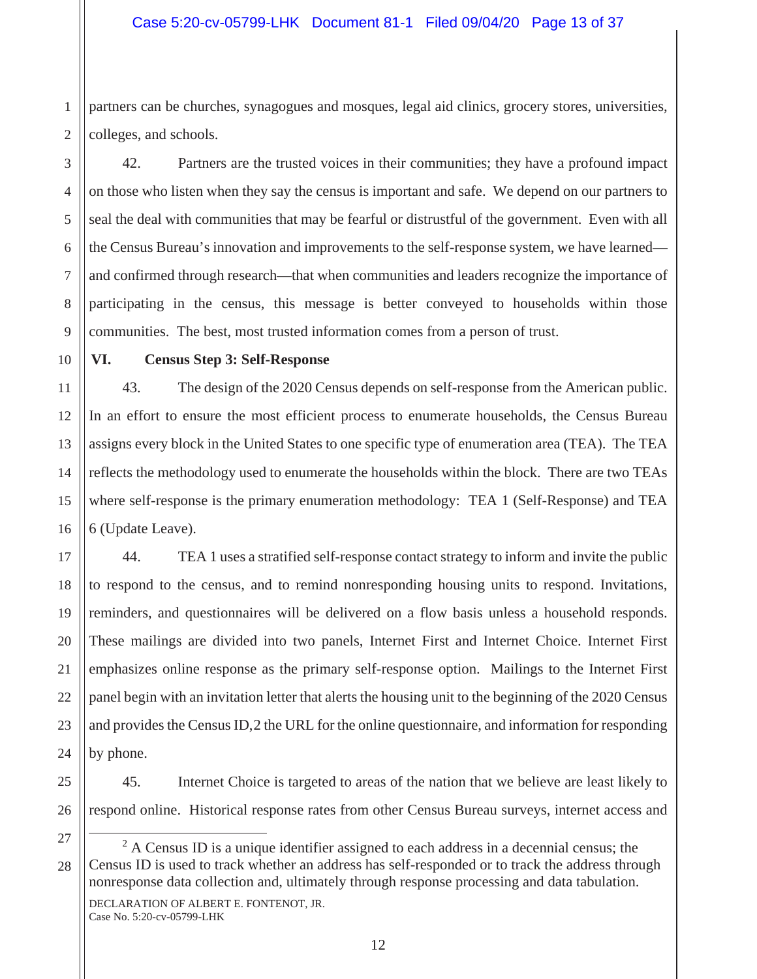1 2 partners can be churches, synagogues and mosques, legal aid clinics, grocery stores, universities, colleges, and schools.

42. Partners are the trusted voices in their communities; they have a profound impact on those who listen when they say the census is important and safe. We depend on our partners to seal the deal with communities that may be fearful or distrustful of the government. Even with all the Census Bureau's innovation and improvements to the self-response system, we have learned and confirmed through research—that when communities and leaders recognize the importance of participating in the census, this message is better conveyed to households within those communities. The best, most trusted information comes from a person of trust.

### **VI. Census Step 3: Self-Response**

43. The design of the 2020 Census depends on self-response from the American public. In an effort to ensure the most efficient process to enumerate households, the Census Bureau assigns every block in the United States to one specific type of enumeration area (TEA). The TEA reflects the methodology used to enumerate the households within the block. There are two TEAs where self-response is the primary enumeration methodology: TEA 1 (Self-Response) and TEA 6 (Update Leave).

44. TEA 1 uses a stratified self-response contact strategy to inform and invite the public to respond to the census, and to remind nonresponding housing units to respond. Invitations, reminders, and questionnaires will be delivered on a flow basis unless a household responds. These mailings are divided into two panels, Internet First and Internet Choice. Internet First emphasizes online response as the primary self-response option. Mailings to the Internet First panel begin with an invitation letter that alerts the housing unit to the beginning of the 2020 Census and provides the Census ID,2 the URL for the online questionnaire, and information for responding by phone.

45. Internet Choice is targeted to areas of the nation that we believe are least likely to respond online. Historical response rates from other Census Bureau surveys, internet access and

 $2^2$  A Census ID is a unique identifier assigned to each address in a decennial census; the Census ID is used to track whether an address has self-responded or to track the address through nonresponse data collection and, ultimately through response processing and data tabulation.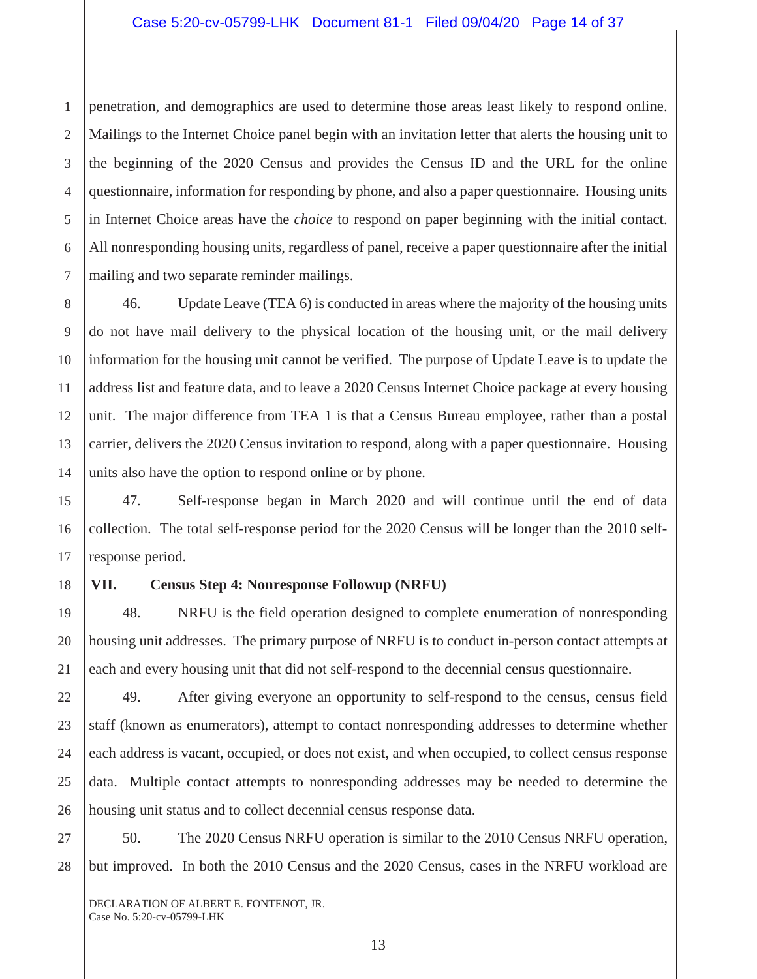1 2 penetration, and demographics are used to determine those areas least likely to respond online. Mailings to the Internet Choice panel begin with an invitation letter that alerts the housing unit to the beginning of the 2020 Census and provides the Census ID and the URL for the online questionnaire, information for responding by phone, and also a paper questionnaire. Housing units in Internet Choice areas have the *choice* to respond on paper beginning with the initial contact. All nonresponding housing units, regardless of panel, receive a paper questionnaire after the initial mailing and two separate reminder mailings.

46. Update Leave (TEA 6) is conducted in areas where the majority of the housing units do not have mail delivery to the physical location of the housing unit, or the mail delivery information for the housing unit cannot be verified. The purpose of Update Leave is to update the address list and feature data, and to leave a 2020 Census Internet Choice package at every housing unit. The major difference from TEA 1 is that a Census Bureau employee, rather than a postal carrier, delivers the 2020 Census invitation to respond, along with a paper questionnaire. Housing units also have the option to respond online or by phone.

47. Self-response began in March 2020 and will continue until the end of data collection. The total self-response period for the 2020 Census will be longer than the 2010 selfresponse period.

# **VII. Census Step 4: Nonresponse Followup (NRFU)**

48. NRFU is the field operation designed to complete enumeration of nonresponding housing unit addresses. The primary purpose of NRFU is to conduct in-person contact attempts at each and every housing unit that did not self-respond to the decennial census questionnaire.

49. After giving everyone an opportunity to self-respond to the census, census field staff (known as enumerators), attempt to contact nonresponding addresses to determine whether each address is vacant, occupied, or does not exist, and when occupied, to collect census response data. Multiple contact attempts to nonresponding addresses may be needed to determine the housing unit status and to collect decennial census response data.

50. The 2020 Census NRFU operation is similar to the 2010 Census NRFU operation, but improved. In both the 2010 Census and the 2020 Census, cases in the NRFU workload are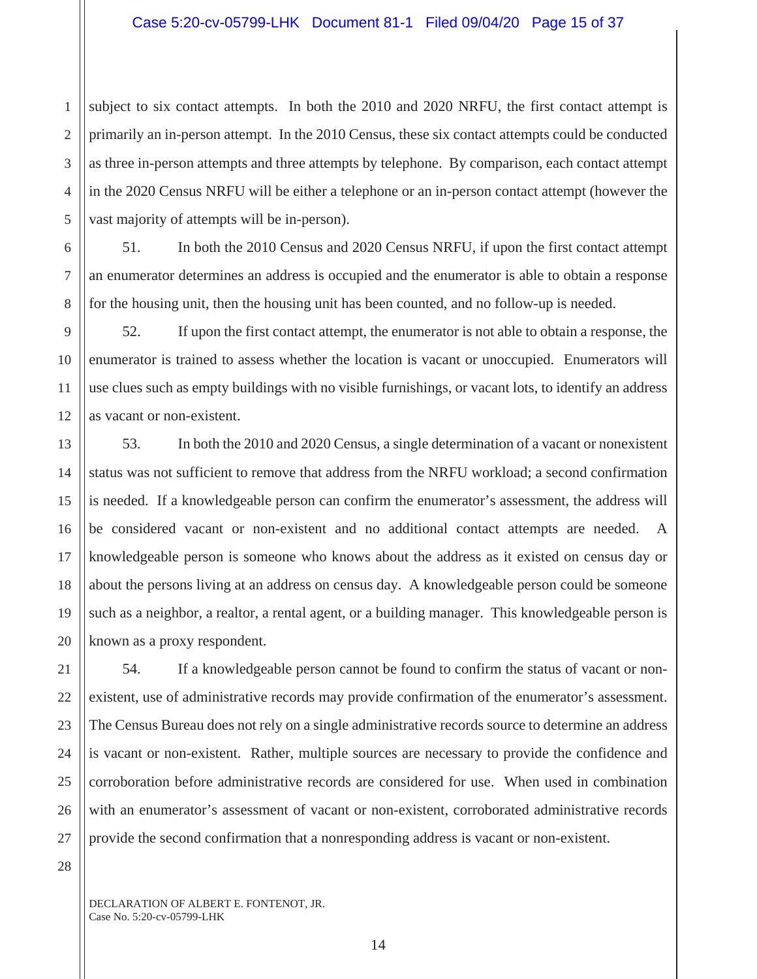2 3 4 5 subject to six contact attempts. In both the 2010 and 2020 NRFU, the first contact attempt is primarily an in-person attempt. In the 2010 Census, these six contact attempts could be conducted as three in-person attempts and three attempts by telephone. By comparison, each contact attempt in the 2020 Census NRFU will be either a telephone or an in-person contact attempt (however the vast majority of attempts will be in-person).

6 7 8 51. In both the 2010 Census and 2020 Census NRFU, if upon the first contact attempt an enumerator determines an address is occupied and the enumerator is able to obtain a response for the housing unit, then the housing unit has been counted, and no follow-up is needed.

52. If upon the first contact attempt, the enumerator is not able to obtain a response, the enumerator is trained to assess whether the location is vacant or unoccupied. Enumerators will use clues such as empty buildings with no visible furnishings, or vacant lots, to identify an address as vacant or non-existent.

53. In both the 2010 and 2020 Census, a single determination of a vacant or nonexistent status was not sufficient to remove that address from the NRFU workload; a second confirmation is needed. If a knowledgeable person can confirm the enumerator's assessment, the address will be considered vacant or non-existent and no additional contact attempts are needed. A knowledgeable person is someone who knows about the address as it existed on census day or about the persons living at an address on census day. A knowledgeable person could be someone such as a neighbor, a realtor, a rental agent, or a building manager. This knowledgeable person is known as a proxy respondent.

54. If a knowledgeable person cannot be found to confirm the status of vacant or nonexistent, use of administrative records may provide confirmation of the enumerator's assessment. The Census Bureau does not rely on a single administrative records source to determine an address is vacant or non-existent. Rather, multiple sources are necessary to provide the confidence and corroboration before administrative records are considered for use. When used in combination with an enumerator's assessment of vacant or non-existent, corroborated administrative records provide the second confirmation that a nonresponding address is vacant or non-existent.

28

1

9

10

11

12

13

14

15

16

17

18

19

20

21

22

23

24

25

26

27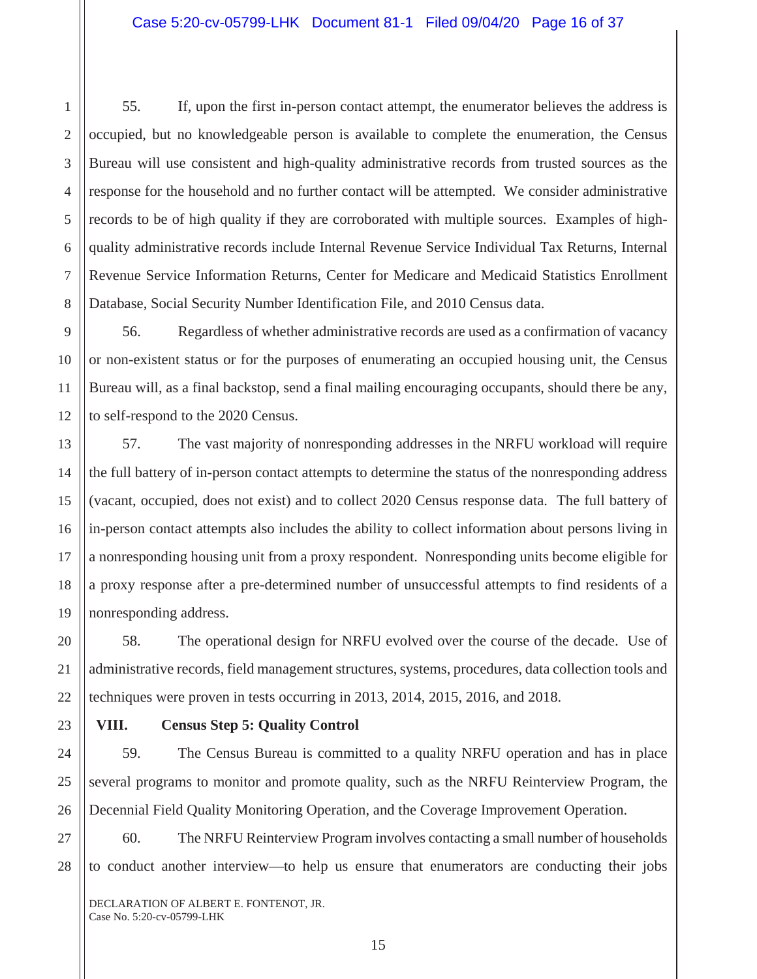55. If, upon the first in-person contact attempt, the enumerator believes the address is occupied, but no knowledgeable person is available to complete the enumeration, the Census Bureau will use consistent and high-quality administrative records from trusted sources as the response for the household and no further contact will be attempted. We consider administrative records to be of high quality if they are corroborated with multiple sources. Examples of highquality administrative records include Internal Revenue Service Individual Tax Returns, Internal Revenue Service Information Returns, Center for Medicare and Medicaid Statistics Enrollment Database, Social Security Number Identification File, and 2010 Census data.

56. Regardless of whether administrative records are used as a confirmation of vacancy or non-existent status or for the purposes of enumerating an occupied housing unit, the Census Bureau will, as a final backstop, send a final mailing encouraging occupants, should there be any, to self-respond to the 2020 Census.

57. The vast majority of nonresponding addresses in the NRFU workload will require the full battery of in-person contact attempts to determine the status of the nonresponding address (vacant, occupied, does not exist) and to collect 2020 Census response data. The full battery of in-person contact attempts also includes the ability to collect information about persons living in a nonresponding housing unit from a proxy respondent. Nonresponding units become eligible for a proxy response after a pre-determined number of unsuccessful attempts to find residents of a nonresponding address.

58. The operational design for NRFU evolved over the course of the decade. Use of administrative records, field management structures, systems, procedures, data collection tools and techniques were proven in tests occurring in 2013, 2014, 2015, 2016, and 2018.

## **VIII. Census Step 5: Quality Control**

59. The Census Bureau is committed to a quality NRFU operation and has in place several programs to monitor and promote quality, such as the NRFU Reinterview Program, the Decennial Field Quality Monitoring Operation, and the Coverage Improvement Operation.

60. The NRFU Reinterview Program involves contacting a small number of households to conduct another interview—to help us ensure that enumerators are conducting their jobs

DECLARATION OF ALBERT E. FONTENOT, JR. Case No. 5:20-cv-05799-LHK

1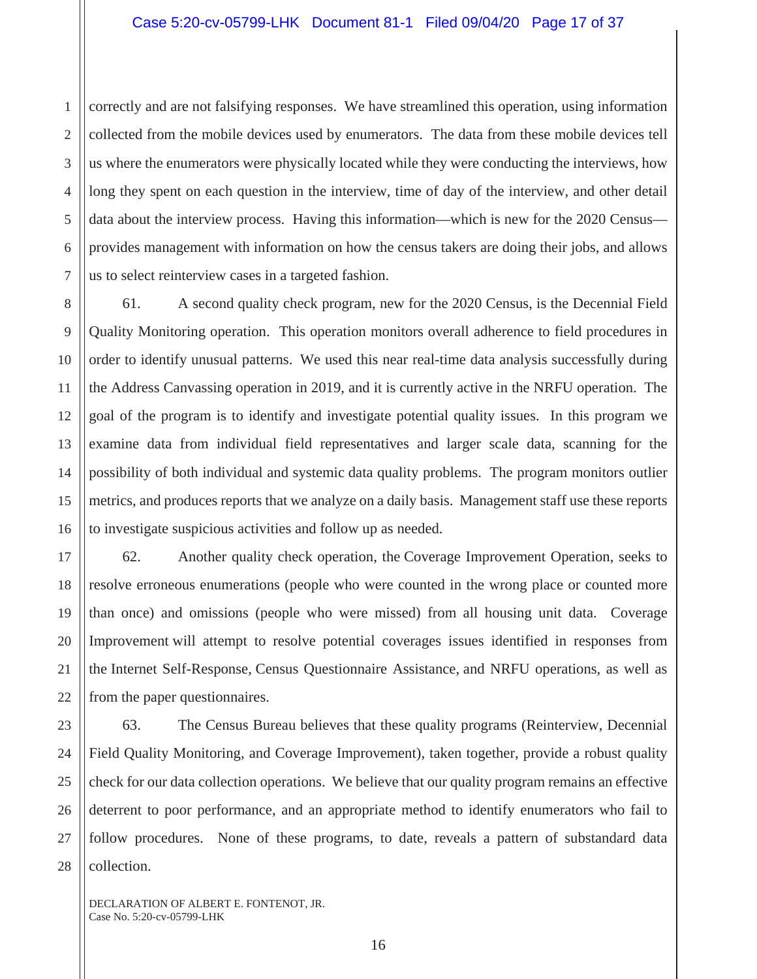1 2 correctly and are not falsifying responses. We have streamlined this operation, using information collected from the mobile devices used by enumerators. The data from these mobile devices tell us where the enumerators were physically located while they were conducting the interviews, how long they spent on each question in the interview, time of day of the interview, and other detail data about the interview process. Having this information—which is new for the 2020 Census provides management with information on how the census takers are doing their jobs, and allows us to select reinterview cases in a targeted fashion.

61. A second quality check program, new for the 2020 Census, is the Decennial Field Quality Monitoring operation. This operation monitors overall adherence to field procedures in order to identify unusual patterns. We used this near real-time data analysis successfully during the Address Canvassing operation in 2019, and it is currently active in the NRFU operation. The goal of the program is to identify and investigate potential quality issues. In this program we examine data from individual field representatives and larger scale data, scanning for the possibility of both individual and systemic data quality problems. The program monitors outlier metrics, and produces reports that we analyze on a daily basis. Management staff use these reports to investigate suspicious activities and follow up as needed.

62. Another quality check operation, the Coverage Improvement Operation, seeks to resolve erroneous enumerations (people who were counted in the wrong place or counted more than once) and omissions (people who were missed) from all housing unit data. Coverage Improvement will attempt to resolve potential coverages issues identified in responses from the Internet Self-Response, Census Questionnaire Assistance, and NRFU operations, as well as from the paper questionnaires.

63. The Census Bureau believes that these quality programs (Reinterview, Decennial Field Quality Monitoring, and Coverage Improvement), taken together, provide a robust quality check for our data collection operations. We believe that our quality program remains an effective deterrent to poor performance, and an appropriate method to identify enumerators who fail to follow procedures. None of these programs, to date, reveals a pattern of substandard data collection.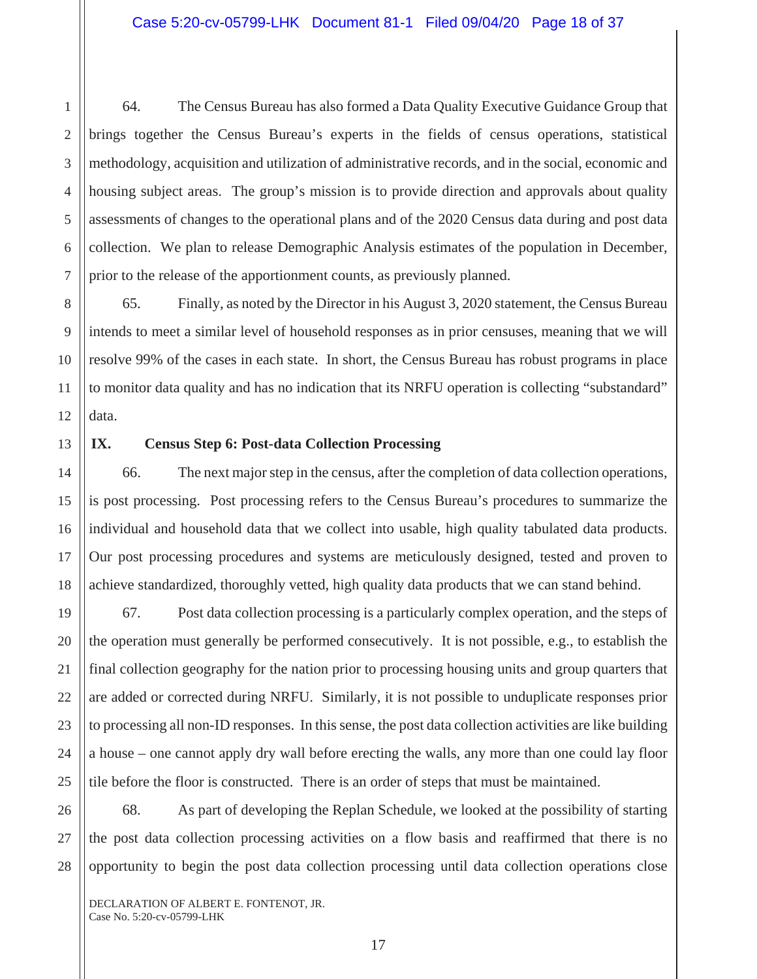64. The Census Bureau has also formed a Data Quality Executive Guidance Group that brings together the Census Bureau's experts in the fields of census operations, statistical methodology, acquisition and utilization of administrative records, and in the social, economic and housing subject areas. The group's mission is to provide direction and approvals about quality assessments of changes to the operational plans and of the 2020 Census data during and post data collection. We plan to release Demographic Analysis estimates of the population in December, prior to the release of the apportionment counts, as previously planned.

65. Finally, as noted by the Director in his August 3, 2020 statement, the Census Bureau intends to meet a similar level of household responses as in prior censuses, meaning that we will resolve 99% of the cases in each state. In short, the Census Bureau has robust programs in place to monitor data quality and has no indication that its NRFU operation is collecting "substandard" data.

1

2

3

## **IX. Census Step 6: Post-data Collection Processing**

66. The next major step in the census, after the completion of data collection operations, is post processing. Post processing refers to the Census Bureau's procedures to summarize the individual and household data that we collect into usable, high quality tabulated data products. Our post processing procedures and systems are meticulously designed, tested and proven to achieve standardized, thoroughly vetted, high quality data products that we can stand behind.

67. Post data collection processing is a particularly complex operation, and the steps of the operation must generally be performed consecutively. It is not possible, e.g., to establish the final collection geography for the nation prior to processing housing units and group quarters that are added or corrected during NRFU. Similarly, it is not possible to unduplicate responses prior to processing all non-ID responses. In this sense, the post data collection activities are like building a house – one cannot apply dry wall before erecting the walls, any more than one could lay floor tile before the floor is constructed. There is an order of steps that must be maintained.

68. As part of developing the Replan Schedule, we looked at the possibility of starting the post data collection processing activities on a flow basis and reaffirmed that there is no opportunity to begin the post data collection processing until data collection operations close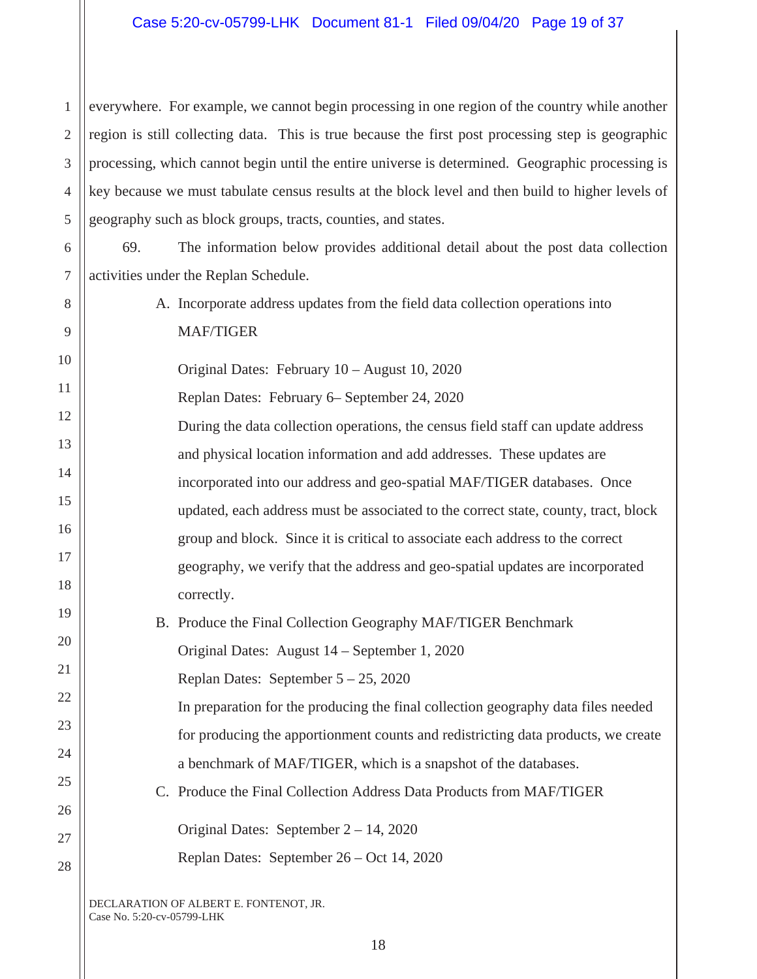1 2 3 4 5 everywhere. For example, we cannot begin processing in one region of the country while another region is still collecting data. This is true because the first post processing step is geographic processing, which cannot begin until the entire universe is determined. Geographic processing is key because we must tabulate census results at the block level and then build to higher levels of geography such as block groups, tracts, counties, and states.

6 7 69. The information below provides additional detail about the post data collection activities under the Replan Schedule.

- A. Incorporate address updates from the field data collection operations into MAF/TIGER
- 10 11 12 13 14 15 16 17 18 19 Original Dates: February 10 – August 10, 2020 Replan Dates: February 6– September 24, 2020 During the data collection operations, the census field staff can update address and physical location information and add addresses. These updates are incorporated into our address and geo-spatial MAF/TIGER databases. Once updated, each address must be associated to the correct state, county, tract, block group and block. Since it is critical to associate each address to the correct geography, we verify that the address and geo-spatial updates are incorporated correctly.
	- B. Produce the Final Collection Geography MAF/TIGER Benchmark Original Dates: August 14 – September 1, 2020

Replan Dates: September 5 – 25, 2020

In preparation for the producing the final collection geography data files needed for producing the apportionment counts and redistricting data products, we create a benchmark of MAF/TIGER, which is a snapshot of the databases.

C. Produce the Final Collection Address Data Products from MAF/TIGER

Original Dates: September 2 – 14, 2020

Replan Dates: September 26 – Oct 14, 2020

DECLARATION OF ALBERT E. FONTENOT, JR. Case No. 5:20-cv-05799-LHK

8

9

20

21

22

23

24

25

26

27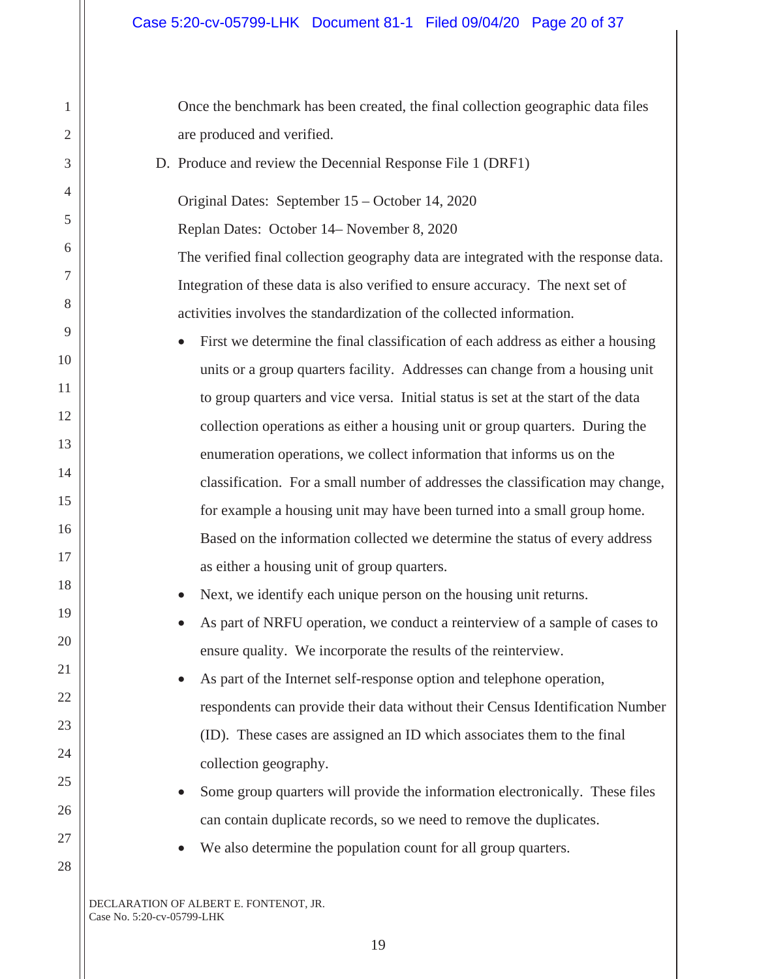Once the benchmark has been created, the final collection geographic data files are produced and verified.

D. Produce and review the Decennial Response File 1 (DRF1)

Original Dates: September 15 – October 14, 2020 Replan Dates: October 14– November 8, 2020 The verified final collection geography data are integrated with the response data. Integration of these data is also verified to ensure accuracy. The next set of

activities involves the standardization of the collected information.

First we determine the final classification of each address as either a housing units or a group quarters facility. Addresses can change from a housing unit to group quarters and vice versa. Initial status is set at the start of the data collection operations as either a housing unit or group quarters. During the enumeration operations, we collect information that informs us on the classification. For a small number of addresses the classification may change, for example a housing unit may have been turned into a small group home. Based on the information collected we determine the status of every address as either a housing unit of group quarters.

Next, we identify each unique person on the housing unit returns.

As part of NRFU operation, we conduct a reinterview of a sample of cases to ensure quality. We incorporate the results of the reinterview.

As part of the Internet self-response option and telephone operation, respondents can provide their data without their Census Identification Number (ID). These cases are assigned an ID which associates them to the final collection geography.

- Some group quarters will provide the information electronically. These files can contain duplicate records, so we need to remove the duplicates.
- We also determine the population count for all group quarters.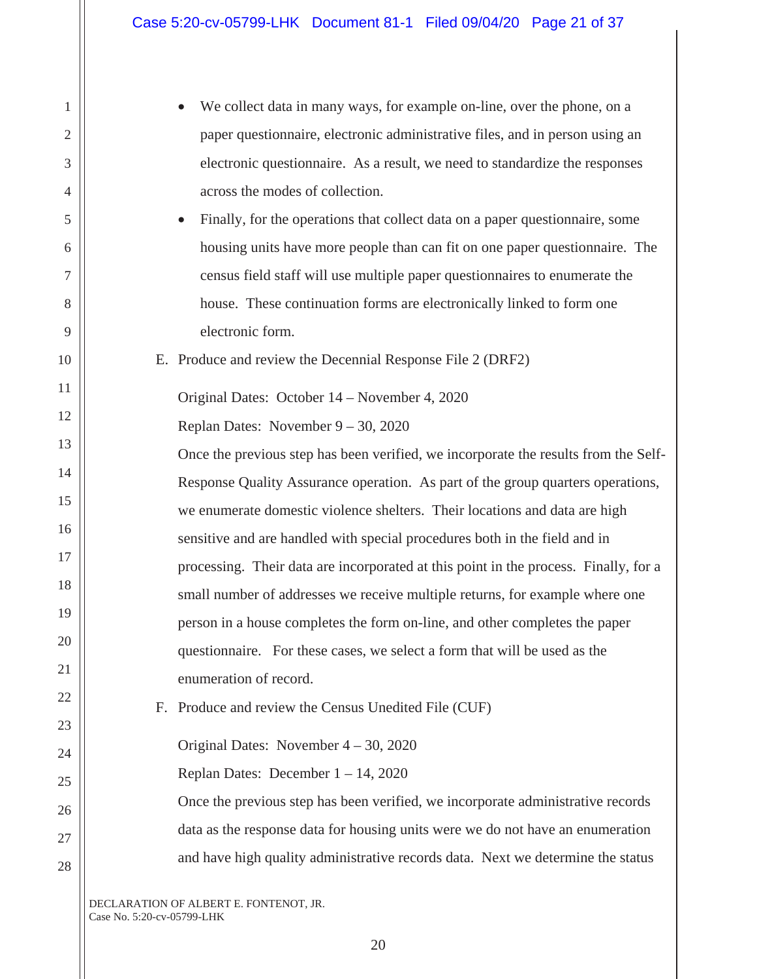| 1              | We collect data in many ways, for example on-line, over the phone, on a                   |
|----------------|-------------------------------------------------------------------------------------------|
| $\mathfrak{2}$ | paper questionnaire, electronic administrative files, and in person using an              |
| 3              | electronic questionnaire. As a result, we need to standardize the responses               |
| 4              | across the modes of collection.                                                           |
| 5              | Finally, for the operations that collect data on a paper questionnaire, some<br>$\bullet$ |
| 6              | housing units have more people than can fit on one paper questionnaire. The               |
| 7              | census field staff will use multiple paper questionnaires to enumerate the                |
| 8              | house. These continuation forms are electronically linked to form one                     |
| 9              | electronic form.                                                                          |
| 10             | E. Produce and review the Decennial Response File 2 (DRF2)                                |
| 11             | Original Dates: October 14 – November 4, 2020                                             |
| 12             | Replan Dates: November $9 - 30$ , 2020                                                    |
| 13             | Once the previous step has been verified, we incorporate the results from the Self-       |
| 14             | Response Quality Assurance operation. As part of the group quarters operations,           |
| 15             | we enumerate domestic violence shelters. Their locations and data are high                |
| 16             | sensitive and are handled with special procedures both in the field and in                |
| 17             | processing. Their data are incorporated at this point in the process. Finally, for a      |
| 18             | small number of addresses we receive multiple returns, for example where one              |
| 19             | person in a house completes the form on-line, and other completes the paper               |
| $20\,$         | questionnaire. For these cases, we select a form that will be used as the                 |
| 21             | enumeration of record.                                                                    |
| 22             | Produce and review the Census Unedited File (CUF)<br>Е.                                   |
| 23             |                                                                                           |
| 24             | Original Dates: November $4 - 30$ , 2020                                                  |
| 25             | Replan Dates: December $1 - 14$ , 2020                                                    |
| 26             | Once the previous step has been verified, we incorporate administrative records           |
| 27             | data as the response data for housing units were we do not have an enumeration            |
| 28             | and have high quality administrative records data. Next we determine the status           |
|                |                                                                                           |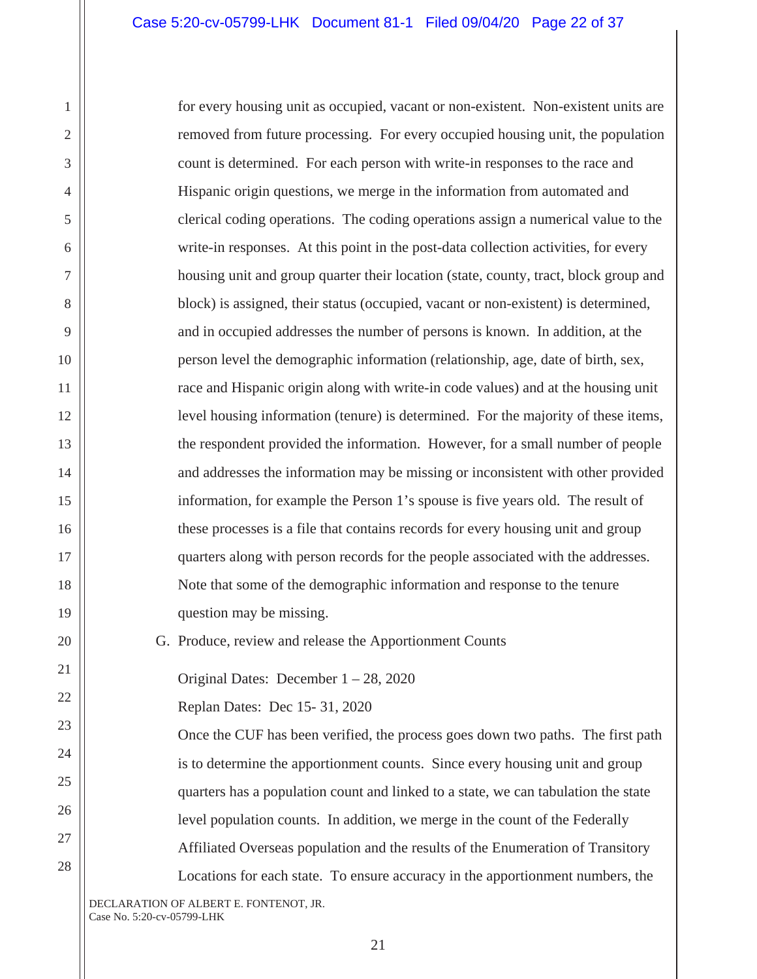for every housing unit as occupied, vacant or non-existent. Non-existent units are removed from future processing. For every occupied housing unit, the population count is determined. For each person with write-in responses to the race and Hispanic origin questions, we merge in the information from automated and clerical coding operations. The coding operations assign a numerical value to the write-in responses. At this point in the post-data collection activities, for every housing unit and group quarter their location (state, county, tract, block group and block) is assigned, their status (occupied, vacant or non-existent) is determined, and in occupied addresses the number of persons is known. In addition, at the person level the demographic information (relationship, age, date of birth, sex, race and Hispanic origin along with write-in code values) and at the housing unit level housing information (tenure) is determined. For the majority of these items, the respondent provided the information. However, for a small number of people and addresses the information may be missing or inconsistent with other provided information, for example the Person 1's spouse is five years old. The result of these processes is a file that contains records for every housing unit and group quarters along with person records for the people associated with the addresses. Note that some of the demographic information and response to the tenure question may be missing.

G. Produce, review and release the Apportionment Counts

Original Dates: December 1 – 28, 2020

Replan Dates: Dec 15- 31, 2020

Once the CUF has been verified, the process goes down two paths. The first path is to determine the apportionment counts. Since every housing unit and group quarters has a population count and linked to a state, we can tabulation the state level population counts. In addition, we merge in the count of the Federally Affiliated Overseas population and the results of the Enumeration of Transitory Locations for each state. To ensure accuracy in the apportionment numbers, the

DECLARATION OF ALBERT E. FONTENOT, JR. Case No. 5:20-cv-05799-LHK

1

2

3

4

5

6

7

8

9

10

11

12

13

14

15

16

17

18

19

20

21

22

23

24

25

26

27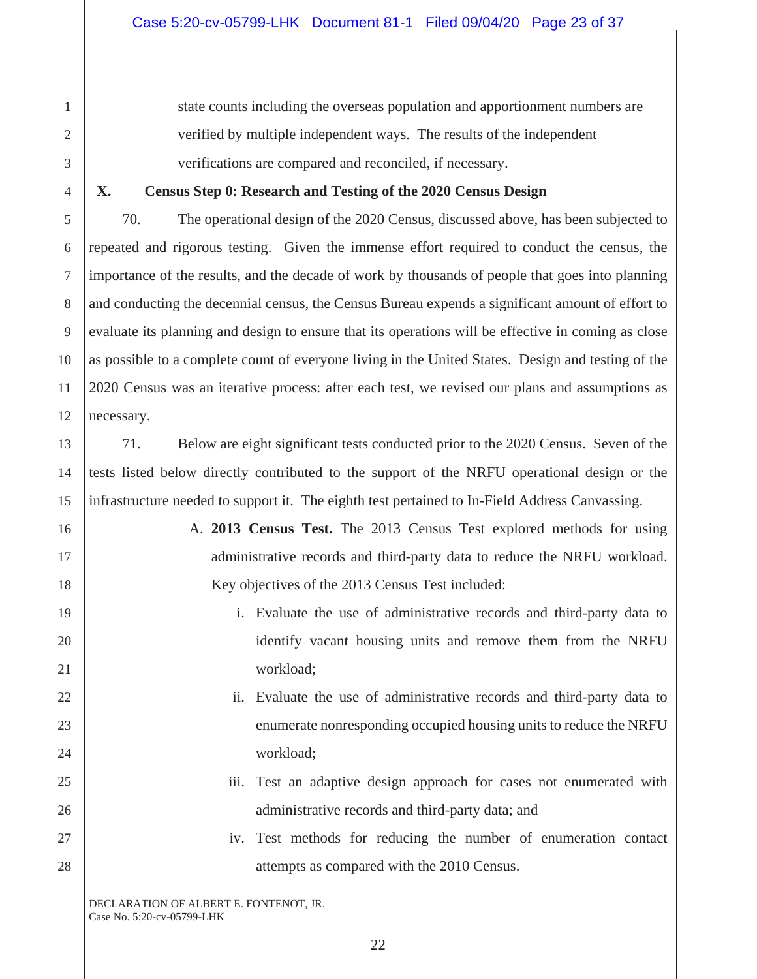state counts including the overseas population and apportionment numbers are verified by multiple independent ways. The results of the independent verifications are compared and reconciled, if necessary.

### **X. Census Step 0: Research and Testing of the 2020 Census Design**

70. The operational design of the 2020 Census, discussed above, has been subjected to repeated and rigorous testing. Given the immense effort required to conduct the census, the importance of the results, and the decade of work by thousands of people that goes into planning and conducting the decennial census, the Census Bureau expends a significant amount of effort to evaluate its planning and design to ensure that its operations will be effective in coming as close as possible to a complete count of everyone living in the United States. Design and testing of the 2020 Census was an iterative process: after each test, we revised our plans and assumptions as necessary.

71. Below are eight significant tests conducted prior to the 2020 Census. Seven of the tests listed below directly contributed to the support of the NRFU operational design or the infrastructure needed to support it. The eighth test pertained to In-Field Address Canvassing.

> A. **2013 Census Test.** The 2013 Census Test explored methods for using administrative records and third-party data to reduce the NRFU workload. Key objectives of the 2013 Census Test included:

- i. Evaluate the use of administrative records and third-party data to identify vacant housing units and remove them from the NRFU workload;
- ii. Evaluate the use of administrative records and third-party data to enumerate nonresponding occupied housing units to reduce the NRFU workload;
- iii. Test an adaptive design approach for cases not enumerated with administrative records and third-party data; and
- iv. Test methods for reducing the number of enumeration contact attempts as compared with the 2010 Census.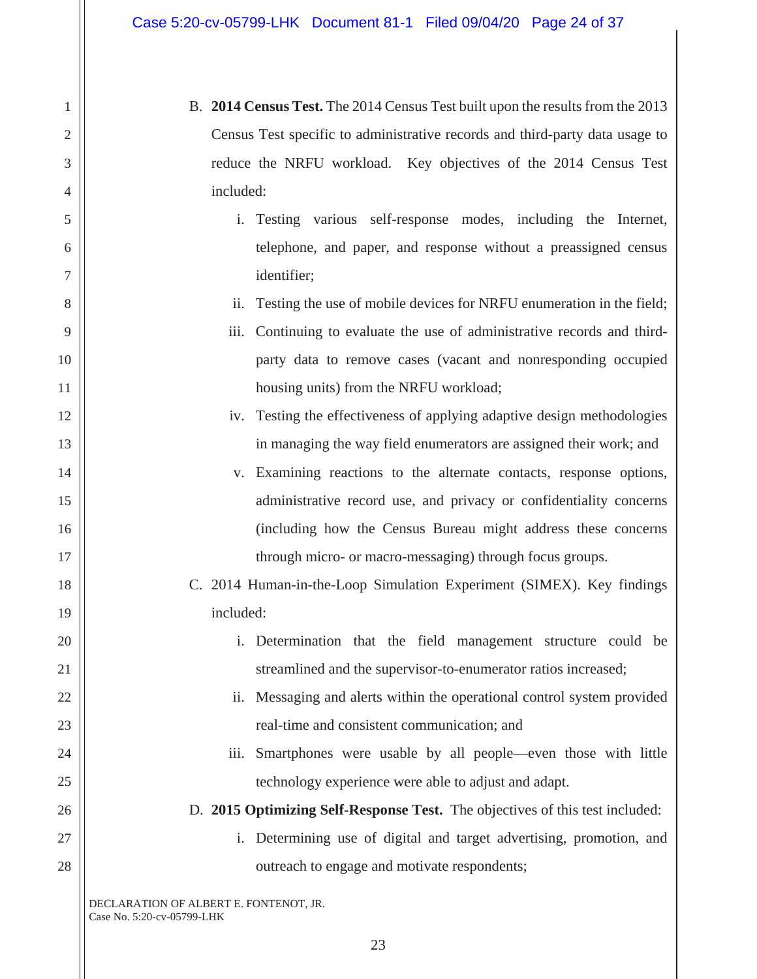- B. **2014 Census Test.** The 2014 Census Test built upon the results from the 2013 Census Test specific to administrative records and third-party data usage to reduce the NRFU workload. Key objectives of the 2014 Census Test included:
	- i. Testing various self-response modes, including the Internet, telephone, and paper, and response without a preassigned census identifier;
	- ii. Testing the use of mobile devices for NRFU enumeration in the field;
	- iii. Continuing to evaluate the use of administrative records and thirdparty data to remove cases (vacant and nonresponding occupied housing units) from the NRFU workload;
	- iv. Testing the effectiveness of applying adaptive design methodologies in managing the way field enumerators are assigned their work; and
	- v. Examining reactions to the alternate contacts, response options, administrative record use, and privacy or confidentiality concerns (including how the Census Bureau might address these concerns through micro- or macro-messaging) through focus groups.
- C. 2014 Human-in-the-Loop Simulation Experiment (SIMEX). Key findings included:
	- i. Determination that the field management structure could be streamlined and the supervisor-to-enumerator ratios increased;
	- ii. Messaging and alerts within the operational control system provided real-time and consistent communication; and
	- iii. Smartphones were usable by all people—even those with little technology experience were able to adjust and adapt.
- D. **2015 Optimizing Self-Response Test.** The objectives of this test included:
	- i. Determining use of digital and target advertising, promotion, and outreach to engage and motivate respondents;

DECLARATION OF ALBERT E. FONTENOT, JR. Case No. 5:20-cv-05799-LHK

1

2

3

4

5

6

7

8

9

10

11

12

13

14

15

16

17

18

19

20

21

22

23

24

25

26

27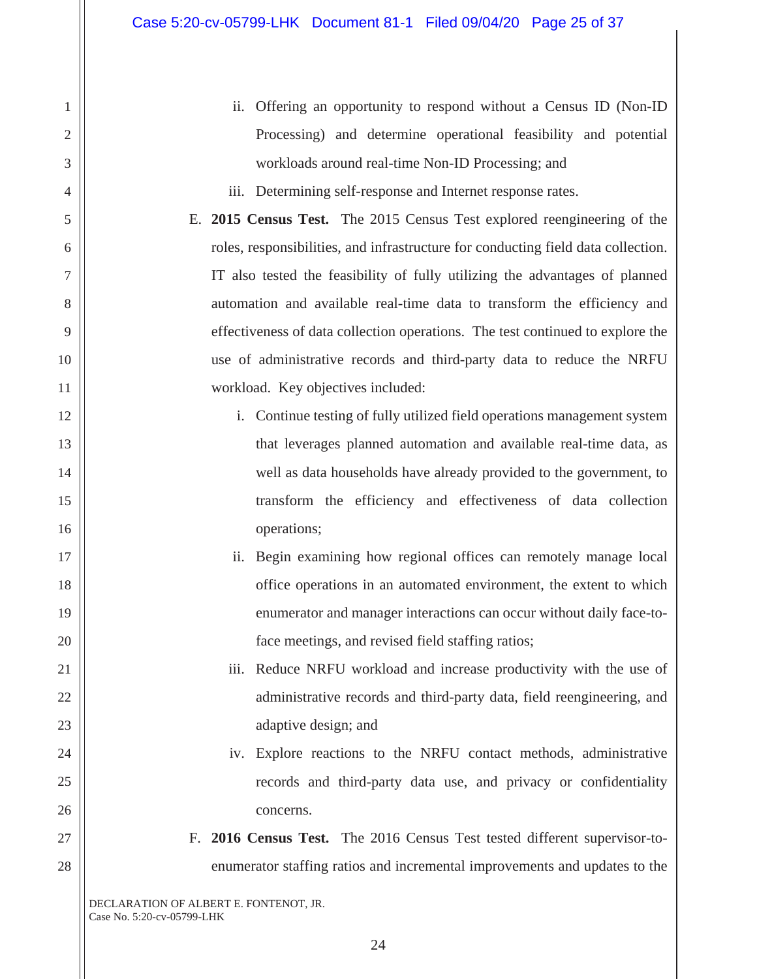- ii. Offering an opportunity to respond without a Census ID (Non-ID Processing) and determine operational feasibility and potential workloads around real-time Non-ID Processing; and
- iii. Determining self-response and Internet response rates.

E. **2015 Census Test.** The 2015 Census Test explored reengineering of the roles, responsibilities, and infrastructure for conducting field data collection. IT also tested the feasibility of fully utilizing the advantages of planned automation and available real-time data to transform the efficiency and effectiveness of data collection operations. The test continued to explore the use of administrative records and third-party data to reduce the NRFU workload. Key objectives included:

- i. Continue testing of fully utilized field operations management system that leverages planned automation and available real-time data, as well as data households have already provided to the government, to transform the efficiency and effectiveness of data collection operations;
- ii. Begin examining how regional offices can remotely manage local office operations in an automated environment, the extent to which enumerator and manager interactions can occur without daily face-toface meetings, and revised field staffing ratios;

iii. Reduce NRFU workload and increase productivity with the use of administrative records and third-party data, field reengineering, and adaptive design; and

- iv. Explore reactions to the NRFU contact methods, administrative records and third-party data use, and privacy or confidentiality concerns.
- F. **2016 Census Test.** The 2016 Census Test tested different supervisor-toenumerator staffing ratios and incremental improvements and updates to the

DECLARATION OF ALBERT E. FONTENOT, JR. Case No. 5:20-cv-05799-LHK

1

2

3

4

5

6

7

8

9

10

11

12

13

14

15

16

17

18

19

20

21

22

23

24

25

26

27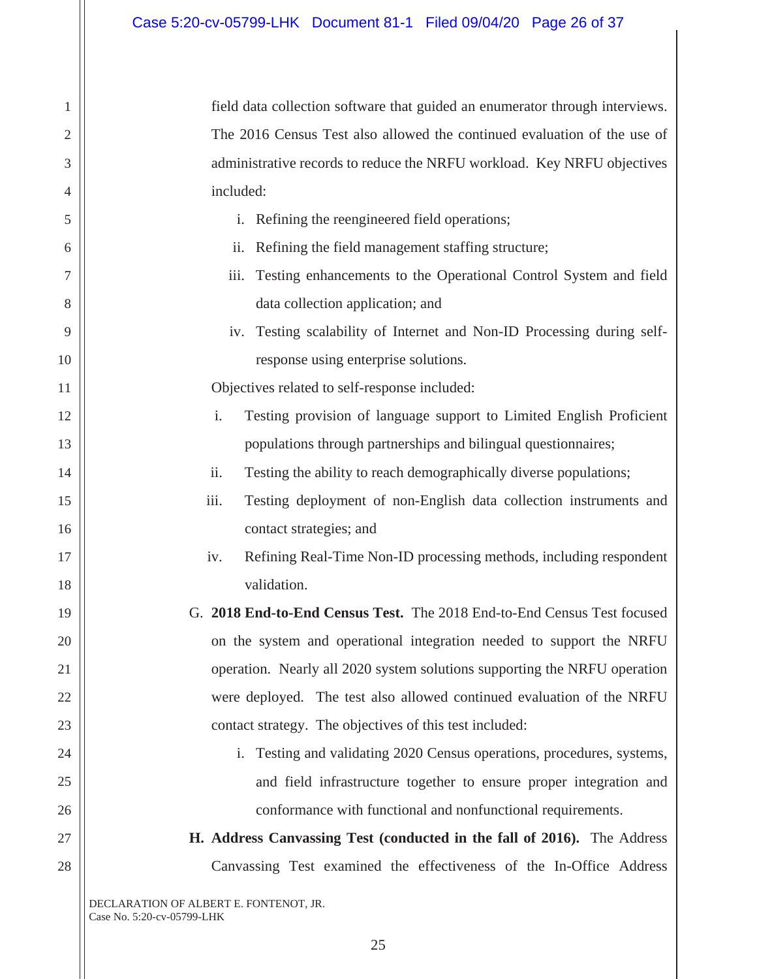field data collection software that guided an enumerator through interviews. The 2016 Census Test also allowed the continued evaluation of the use of administrative records to reduce the NRFU workload. Key NRFU objectives included:

- i. Refining the reengineered field operations;
- ii. Refining the field management staffing structure;
- iii. Testing enhancements to the Operational Control System and field data collection application; and
- iv. Testing scalability of Internet and Non-ID Processing during selfresponse using enterprise solutions.

Objectives related to self-response included:

- i. Testing provision of language support to Limited English Proficient populations through partnerships and bilingual questionnaires;
- ii. Testing the ability to reach demographically diverse populations;
- iii. Testing deployment of non-English data collection instruments and contact strategies; and
- iv. Refining Real-Time Non-ID processing methods, including respondent validation.
- G. **2018 End-to-End Census Test.** The 2018 End-to-End Census Test focused on the system and operational integration needed to support the NRFU operation. Nearly all 2020 system solutions supporting the NRFU operation were deployed. The test also allowed continued evaluation of the NRFU contact strategy. The objectives of this test included:
	- i. Testing and validating 2020 Census operations, procedures, systems, and field infrastructure together to ensure proper integration and conformance with functional and nonfunctional requirements.
- **H. Address Canvassing Test (conducted in the fall of 2016).** The Address Canvassing Test examined the effectiveness of the In-Office Address

DECLARATION OF ALBERT E. FONTENOT, JR. Case No. 5:20-cv-05799-LHK

1

2

3

4

5

6

7

8

9

10

11

12

13

14

15

16

17

18

19

20

21

22

23

24

25

26

27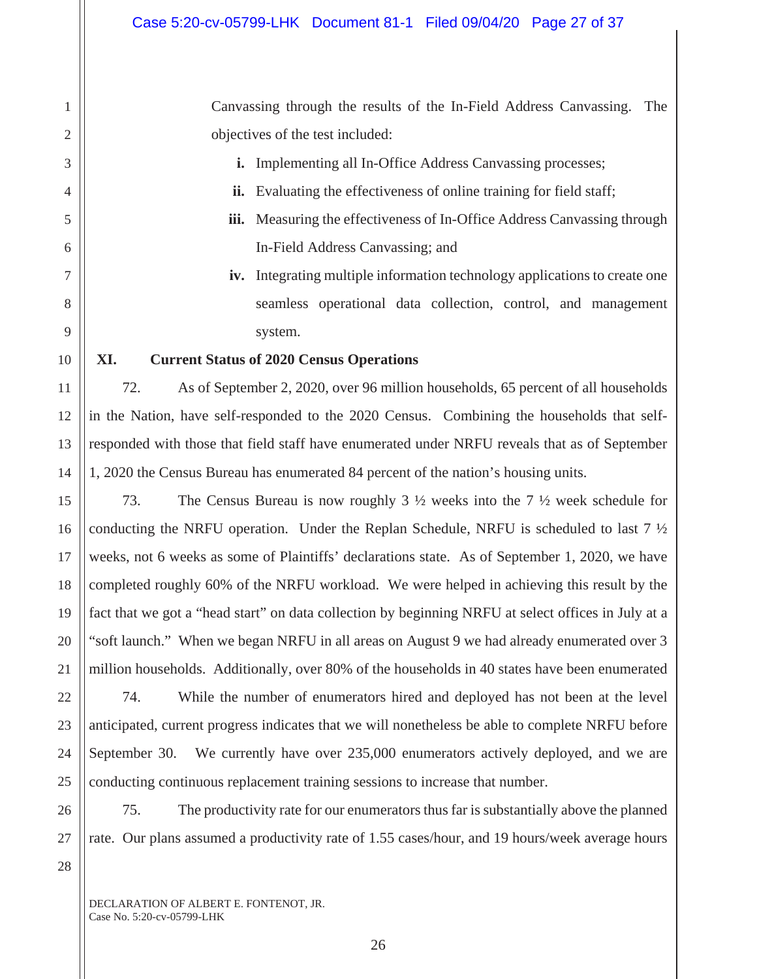Canvassing through the results of the In-Field Address Canvassing. The objectives of the test included:

- **i.** Implementing all In-Office Address Canvassing processes;
- ii. Evaluating the effectiveness of online training for field staff;
- **iii.** Measuring the effectiveness of In-Office Address Canvassing through In-Field Address Canvassing; and
- **iv.** Integrating multiple information technology applications to create one seamless operational data collection, control, and management system.

### **XI. Current Status of 2020 Census Operations**

1

2

3

4

5

6

7

8

9

10

11

12

13

14

15

16

17

18

19

20

21

22

23

24

25

26

27

28

72. As of September 2, 2020, over 96 million households, 65 percent of all households in the Nation, have self-responded to the 2020 Census. Combining the households that selfresponded with those that field staff have enumerated under NRFU reveals that as of September 1, 2020 the Census Bureau has enumerated 84 percent of the nation's housing units.

73. The Census Bureau is now roughly 3 ½ weeks into the 7 ½ week schedule for conducting the NRFU operation. Under the Replan Schedule, NRFU is scheduled to last  $7\frac{1}{2}$ weeks, not 6 weeks as some of Plaintiffs' declarations state. As of September 1, 2020, we have completed roughly 60% of the NRFU workload. We were helped in achieving this result by the fact that we got a "head start" on data collection by beginning NRFU at select offices in July at a "soft launch." When we began NRFU in all areas on August 9 we had already enumerated over 3 million households. Additionally, over 80% of the households in 40 states have been enumerated

74. While the number of enumerators hired and deployed has not been at the level anticipated, current progress indicates that we will nonetheless be able to complete NRFU before September 30. We currently have over 235,000 enumerators actively deployed, and we are conducting continuous replacement training sessions to increase that number.

75. The productivity rate for our enumerators thus far is substantially above the planned rate. Our plans assumed a productivity rate of 1.55 cases/hour, and 19 hours/week average hours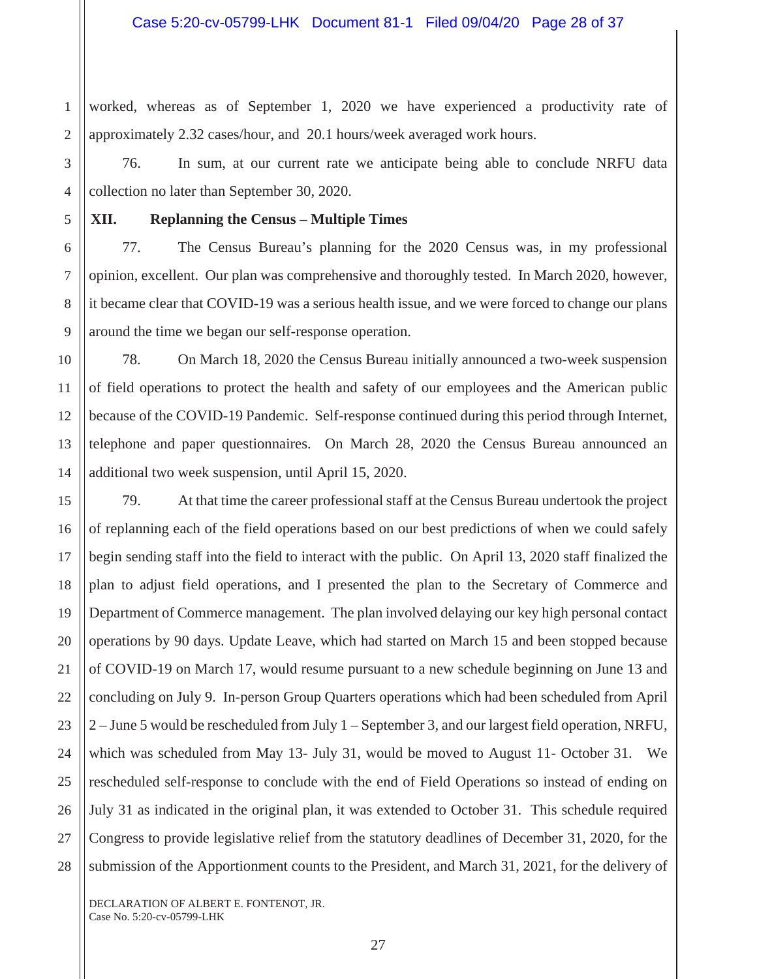worked, whereas as of September 1, 2020 we have experienced a productivity rate of approximately 2.32 cases/hour, and 20.1 hours/week averaged work hours.

76. In sum, at our current rate we anticipate being able to conclude NRFU data collection no later than September 30, 2020.

### **XII. Replanning the Census – Multiple Times**

1

2

3

4

5

6

7

8

9

10

11

12

13

14

17

27

77. The Census Bureau's planning for the 2020 Census was, in my professional opinion, excellent. Our plan was comprehensive and thoroughly tested. In March 2020, however, it became clear that COVID-19 was a serious health issue, and we were forced to change our plans around the time we began our self-response operation.

78. On March 18, 2020 the Census Bureau initially announced a two-week suspension of field operations to protect the health and safety of our employees and the American public because of the COVID-19 Pandemic. Self-response continued during this period through Internet, telephone and paper questionnaires. On March 28, 2020 the Census Bureau announced an additional two week suspension, until April 15, 2020.

15 16 18 19 20 21 22 23 24 25 26 28 79. At that time the career professional staff at the Census Bureau undertook the project of replanning each of the field operations based on our best predictions of when we could safely begin sending staff into the field to interact with the public. On April 13, 2020 staff finalized the plan to adjust field operations, and I presented the plan to the Secretary of Commerce and Department of Commerce management. The plan involved delaying our key high personal contact operations by 90 days. Update Leave, which had started on March 15 and been stopped because of COVID-19 on March 17, would resume pursuant to a new schedule beginning on June 13 and concluding on July 9. In-person Group Quarters operations which had been scheduled from April 2 – June 5 would be rescheduled from July 1 – September 3, and our largest field operation, NRFU, which was scheduled from May 13- July 31, would be moved to August 11- October 31. We rescheduled self-response to conclude with the end of Field Operations so instead of ending on July 31 as indicated in the original plan, it was extended to October 31. This schedule required Congress to provide legislative relief from the statutory deadlines of December 31, 2020, for the submission of the Apportionment counts to the President, and March 31, 2021, for the delivery of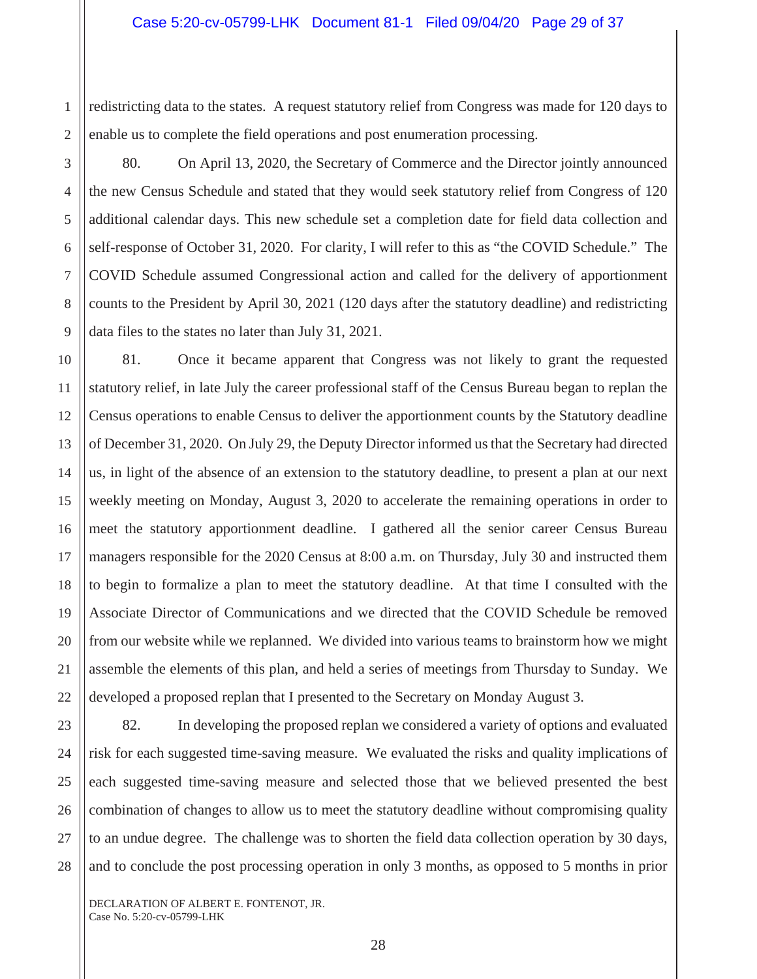redistricting data to the states. A request statutory relief from Congress was made for 120 days to enable us to complete the field operations and post enumeration processing.

3 4 5 6 7 8 9 80. On April 13, 2020, the Secretary of Commerce and the Director jointly announced the new Census Schedule and stated that they would seek statutory relief from Congress of 120 additional calendar days. This new schedule set a completion date for field data collection and self-response of October 31, 2020. For clarity, I will refer to this as "the COVID Schedule." The COVID Schedule assumed Congressional action and called for the delivery of apportionment counts to the President by April 30, 2021 (120 days after the statutory deadline) and redistricting data files to the states no later than July 31, 2021.

81. Once it became apparent that Congress was not likely to grant the requested statutory relief, in late July the career professional staff of the Census Bureau began to replan the Census operations to enable Census to deliver the apportionment counts by the Statutory deadline of December 31, 2020. On July 29, the Deputy Director informed us that the Secretary had directed us, in light of the absence of an extension to the statutory deadline, to present a plan at our next weekly meeting on Monday, August 3, 2020 to accelerate the remaining operations in order to meet the statutory apportionment deadline. I gathered all the senior career Census Bureau managers responsible for the 2020 Census at 8:00 a.m. on Thursday, July 30 and instructed them to begin to formalize a plan to meet the statutory deadline. At that time I consulted with the Associate Director of Communications and we directed that the COVID Schedule be removed from our website while we replanned. We divided into various teams to brainstorm how we might assemble the elements of this plan, and held a series of meetings from Thursday to Sunday. We developed a proposed replan that I presented to the Secretary on Monday August 3.

28

1

2

10

11

12

13

14

15

16

17

18

19

20

21

82. In developing the proposed replan we considered a variety of options and evaluated risk for each suggested time-saving measure. We evaluated the risks and quality implications of each suggested time-saving measure and selected those that we believed presented the best combination of changes to allow us to meet the statutory deadline without compromising quality to an undue degree. The challenge was to shorten the field data collection operation by 30 days, and to conclude the post processing operation in only 3 months, as opposed to 5 months in prior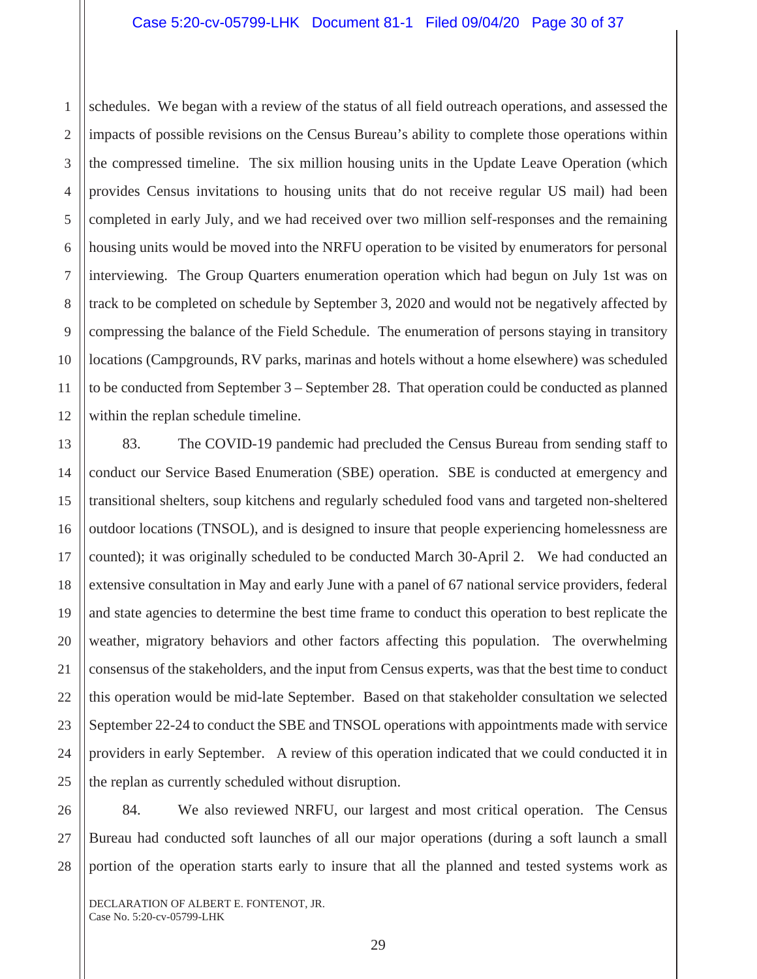1 2 3 4 5 6 7 8 9 10 11 12 schedules. We began with a review of the status of all field outreach operations, and assessed the impacts of possible revisions on the Census Bureau's ability to complete those operations within the compressed timeline. The six million housing units in the Update Leave Operation (which provides Census invitations to housing units that do not receive regular US mail) had been completed in early July, and we had received over two million self-responses and the remaining housing units would be moved into the NRFU operation to be visited by enumerators for personal interviewing. The Group Quarters enumeration operation which had begun on July 1st was on track to be completed on schedule by September 3, 2020 and would not be negatively affected by compressing the balance of the Field Schedule. The enumeration of persons staying in transitory locations (Campgrounds, RV parks, marinas and hotels without a home elsewhere) was scheduled to be conducted from September 3 – September 28. That operation could be conducted as planned within the replan schedule timeline.

19 20 22 83. The COVID-19 pandemic had precluded the Census Bureau from sending staff to conduct our Service Based Enumeration (SBE) operation. SBE is conducted at emergency and transitional shelters, soup kitchens and regularly scheduled food vans and targeted non-sheltered outdoor locations (TNSOL), and is designed to insure that people experiencing homelessness are counted); it was originally scheduled to be conducted March 30-April 2. We had conducted an extensive consultation in May and early June with a panel of 67 national service providers, federal and state agencies to determine the best time frame to conduct this operation to best replicate the weather, migratory behaviors and other factors affecting this population. The overwhelming consensus of the stakeholders, and the input from Census experts, was that the best time to conduct this operation would be mid-late September. Based on that stakeholder consultation we selected September 22-24 to conduct the SBE and TNSOL operations with appointments made with service providers in early September. A review of this operation indicated that we could conducted it in the replan as currently scheduled without disruption.

26 27 28 84. We also reviewed NRFU, our largest and most critical operation. The Census Bureau had conducted soft launches of all our major operations (during a soft launch a small portion of the operation starts early to insure that all the planned and tested systems work as

DECLARATION OF ALBERT E. FONTENOT, JR. Case No. 5:20-cv-05799-LHK

13

14

15

16

17

18

21

23

24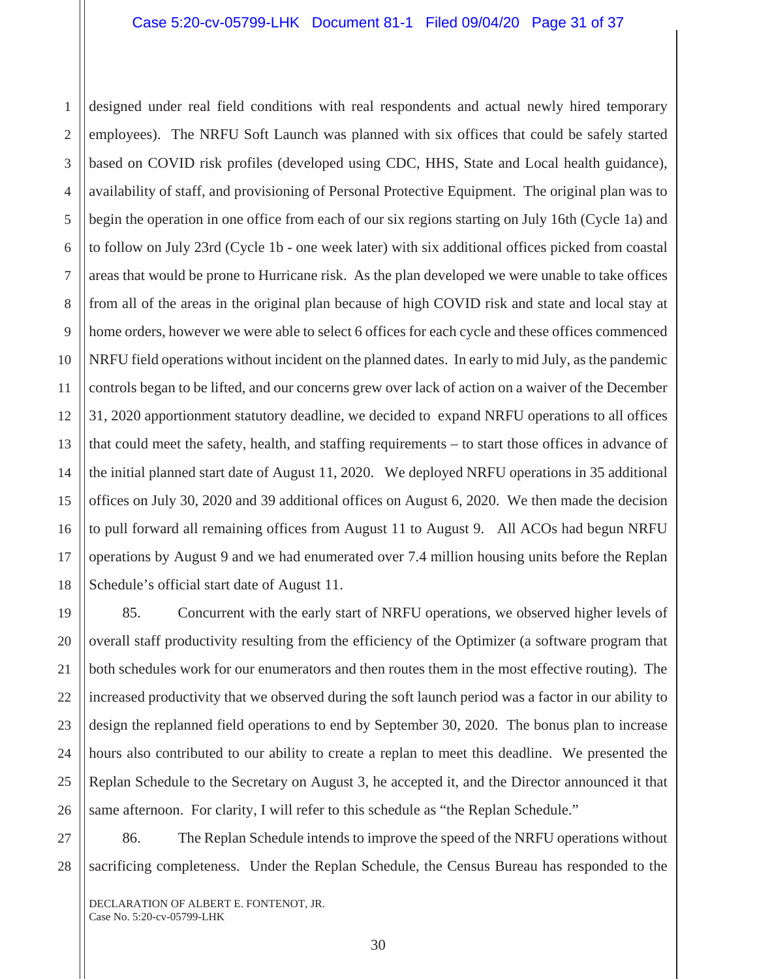2 3 4 designed under real field conditions with real respondents and actual newly hired temporary employees). The NRFU Soft Launch was planned with six offices that could be safely started based on COVID risk profiles (developed using CDC, HHS, State and Local health guidance), availability of staff, and provisioning of Personal Protective Equipment. The original plan was to begin the operation in one office from each of our six regions starting on July 16th (Cycle 1a) and to follow on July 23rd (Cycle 1b - one week later) with six additional offices picked from coastal areas that would be prone to Hurricane risk. As the plan developed we were unable to take offices from all of the areas in the original plan because of high COVID risk and state and local stay at home orders, however we were able to select 6 offices for each cycle and these offices commenced NRFU field operations without incident on the planned dates. In early to mid July, as the pandemic controls began to be lifted, and our concerns grew over lack of action on a waiver of the December 31, 2020 apportionment statutory deadline, we decided to expand NRFU operations to all offices that could meet the safety, health, and staffing requirements – to start those offices in advance of the initial planned start date of August 11, 2020. We deployed NRFU operations in 35 additional offices on July 30, 2020 and 39 additional offices on August 6, 2020. We then made the decision to pull forward all remaining offices from August 11 to August 9. All ACOs had begun NRFU operations by August 9 and we had enumerated over 7.4 million housing units before the Replan Schedule's official start date of August 11.

85. Concurrent with the early start of NRFU operations, we observed higher levels of overall staff productivity resulting from the efficiency of the Optimizer (a software program that both schedules work for our enumerators and then routes them in the most effective routing). The increased productivity that we observed during the soft launch period was a factor in our ability to design the replanned field operations to end by September 30, 2020. The bonus plan to increase hours also contributed to our ability to create a replan to meet this deadline. We presented the Replan Schedule to the Secretary on August 3, he accepted it, and the Director announced it that same afternoon. For clarity, I will refer to this schedule as "the Replan Schedule."

86. The Replan Schedule intends to improve the speed of the NRFU operations without sacrificing completeness. Under the Replan Schedule, the Census Bureau has responded to the

DECLARATION OF ALBERT E. FONTENOT, JR. Case No. 5:20-cv-05799-LHK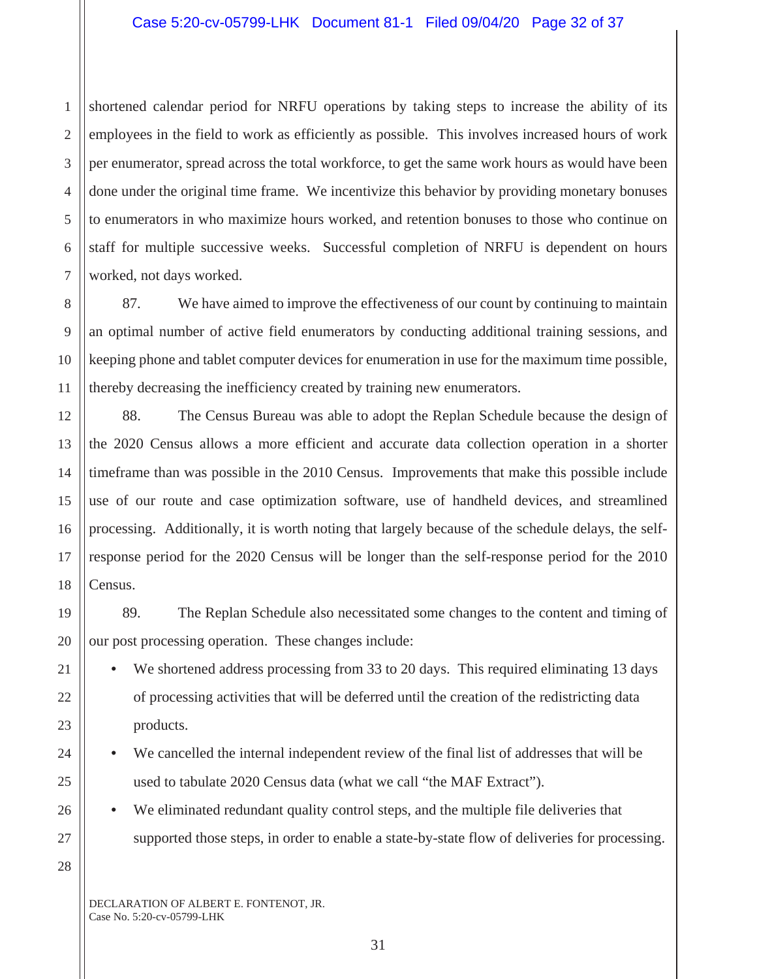1 2 3 4 5 6 7 shortened calendar period for NRFU operations by taking steps to increase the ability of its employees in the field to work as efficiently as possible. This involves increased hours of work per enumerator, spread across the total workforce, to get the same work hours as would have been done under the original time frame. We incentivize this behavior by providing monetary bonuses to enumerators in who maximize hours worked, and retention bonuses to those who continue on staff for multiple successive weeks. Successful completion of NRFU is dependent on hours worked, not days worked.

87. We have aimed to improve the effectiveness of our count by continuing to maintain an optimal number of active field enumerators by conducting additional training sessions, and keeping phone and tablet computer devices for enumeration in use for the maximum time possible, thereby decreasing the inefficiency created by training new enumerators.

88. The Census Bureau was able to adopt the Replan Schedule because the design of the 2020 Census allows a more efficient and accurate data collection operation in a shorter timeframe than was possible in the 2010 Census. Improvements that make this possible include use of our route and case optimization software, use of handheld devices, and streamlined processing. Additionally, it is worth noting that largely because of the schedule delays, the selfresponse period for the 2020 Census will be longer than the self-response period for the 2010 Census.

89. The Replan Schedule also necessitated some changes to the content and timing of our post processing operation. These changes include:

We shortened address processing from 33 to 20 days. This required eliminating 13 days of processing activities that will be deferred until the creation of the redistricting data products.

• We cancelled the internal independent review of the final list of addresses that will be used to tabulate 2020 Census data (what we call "the MAF Extract").

• We eliminated redundant quality control steps, and the multiple file deliveries that supported those steps, in order to enable a state-by-state flow of deliveries for processing.

28

8

9

10

11

12

13

14

15

16

17

18

19

20

21

22

23

24

25

26

27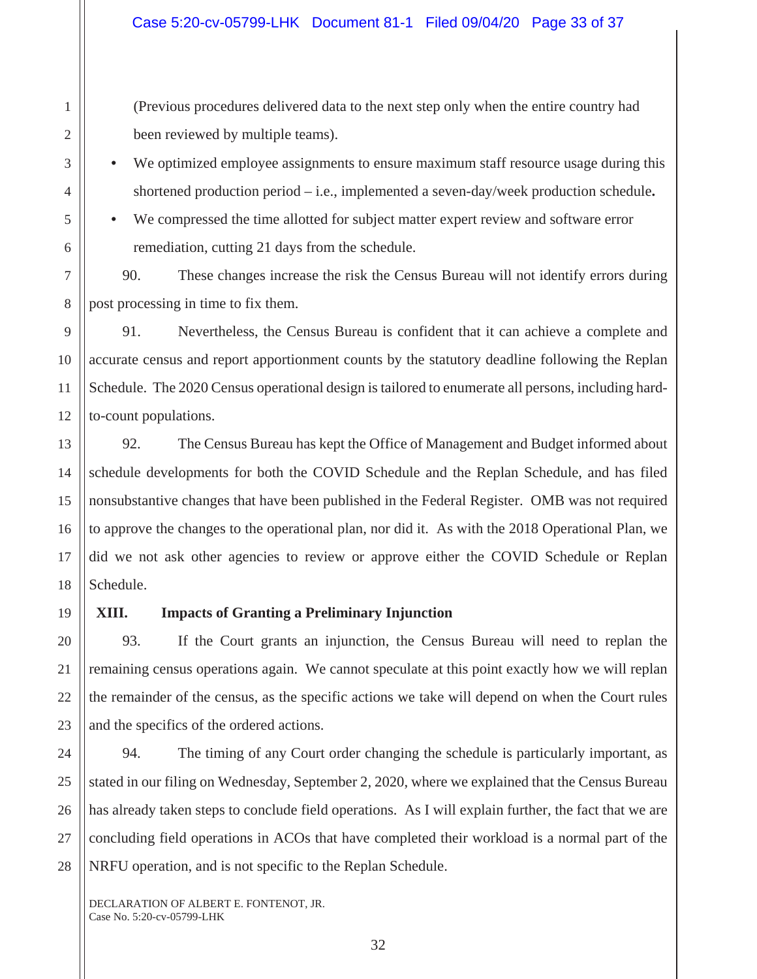(Previous procedures delivered data to the next step only when the entire country had been reviewed by multiple teams).

We optimized employee assignments to ensure maximum staff resource usage during this shortened production period – i.e., implemented a seven-day/week production schedule**.**

We compressed the time allotted for subject matter expert review and software error remediation, cutting 21 days from the schedule.

90. These changes increase the risk the Census Bureau will not identify errors during post processing in time to fix them.

91. Nevertheless, the Census Bureau is confident that it can achieve a complete and accurate census and report apportionment counts by the statutory deadline following the Replan Schedule. The 2020 Census operational design is tailored to enumerate all persons, including hardto-count populations.

92. The Census Bureau has kept the Office of Management and Budget informed about schedule developments for both the COVID Schedule and the Replan Schedule, and has filed nonsubstantive changes that have been published in the Federal Register. OMB was not required to approve the changes to the operational plan, nor did it. As with the 2018 Operational Plan, we did we not ask other agencies to review or approve either the COVID Schedule or Replan Schedule.

### **XIII. Impacts of Granting a Preliminary Injunction**

93. If the Court grants an injunction, the Census Bureau will need to replan the remaining census operations again. We cannot speculate at this point exactly how we will replan the remainder of the census, as the specific actions we take will depend on when the Court rules and the specifics of the ordered actions.

94. The timing of any Court order changing the schedule is particularly important, as stated in our filing on Wednesday, September 2, 2020, where we explained that the Census Bureau has already taken steps to conclude field operations. As I will explain further, the fact that we are concluding field operations in ACOs that have completed their workload is a normal part of the NRFU operation, and is not specific to the Replan Schedule.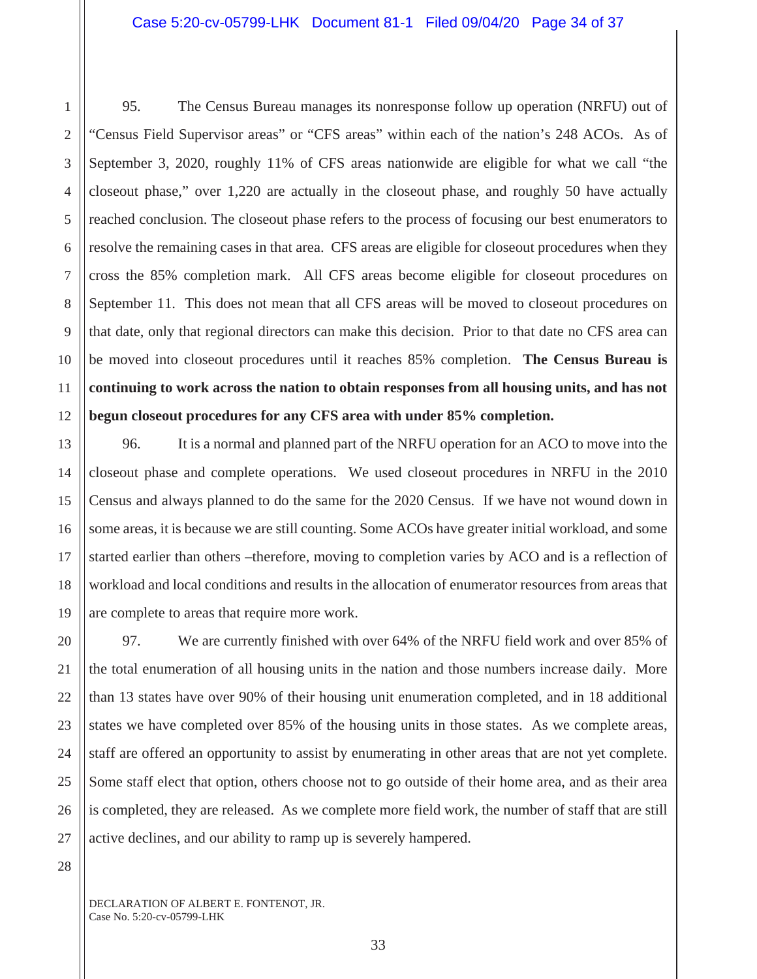95. The Census Bureau manages its nonresponse follow up operation (NRFU) out of "Census Field Supervisor areas" or "CFS areas" within each of the nation's 248 ACOs. As of September 3, 2020, roughly 11% of CFS areas nationwide are eligible for what we call "the closeout phase," over 1,220 are actually in the closeout phase, and roughly 50 have actually reached conclusion. The closeout phase refers to the process of focusing our best enumerators to resolve the remaining cases in that area. CFS areas are eligible for closeout procedures when they cross the 85% completion mark. All CFS areas become eligible for closeout procedures on September 11. This does not mean that all CFS areas will be moved to closeout procedures on that date, only that regional directors can make this decision. Prior to that date no CFS area can be moved into closeout procedures until it reaches 85% completion. **The Census Bureau is continuing to work across the nation to obtain responses from all housing units, and has not begun closeout procedures for any CFS area with under 85% completion.** 

96. It is a normal and planned part of the NRFU operation for an ACO to move into the closeout phase and complete operations. We used closeout procedures in NRFU in the 2010 Census and always planned to do the same for the 2020 Census. If we have not wound down in some areas, it is because we are still counting. Some ACOs have greater initial workload, and some started earlier than others –therefore, moving to completion varies by ACO and is a reflection of workload and local conditions and results in the allocation of enumerator resources from areas that are complete to areas that require more work.

97. We are currently finished with over 64% of the NRFU field work and over 85% of the total enumeration of all housing units in the nation and those numbers increase daily. More than 13 states have over 90% of their housing unit enumeration completed, and in 18 additional states we have completed over 85% of the housing units in those states. As we complete areas, staff are offered an opportunity to assist by enumerating in other areas that are not yet complete. Some staff elect that option, others choose not to go outside of their home area, and as their area is completed, they are released. As we complete more field work, the number of staff that are still active declines, and our ability to ramp up is severely hampered.

DECLARATION OF ALBERT E. FONTENOT, JR. Case No. 5:20-cv-05799-LHK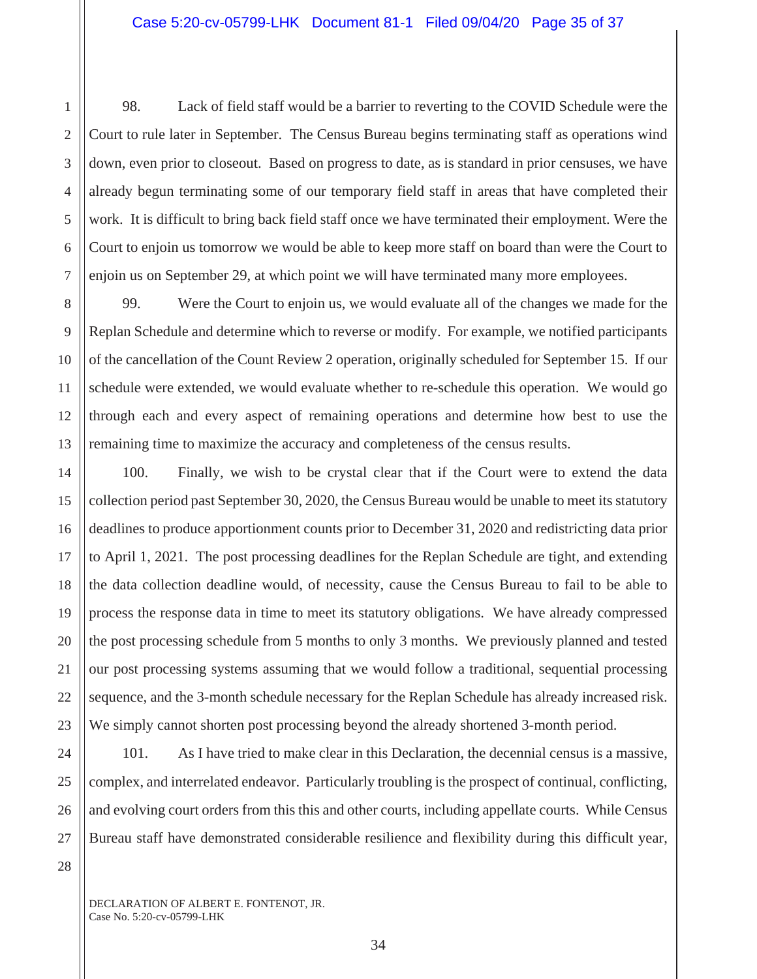98. Lack of field staff would be a barrier to reverting to the COVID Schedule were the Court to rule later in September. The Census Bureau begins terminating staff as operations wind down, even prior to closeout. Based on progress to date, as is standard in prior censuses, we have already begun terminating some of our temporary field staff in areas that have completed their work. It is difficult to bring back field staff once we have terminated their employment. Were the Court to enjoin us tomorrow we would be able to keep more staff on board than were the Court to enjoin us on September 29, at which point we will have terminated many more employees.

8 9 10 12 13 99. Were the Court to enjoin us, we would evaluate all of the changes we made for the Replan Schedule and determine which to reverse or modify. For example, we notified participants of the cancellation of the Count Review 2 operation, originally scheduled for September 15. If our schedule were extended, we would evaluate whether to re-schedule this operation. We would go through each and every aspect of remaining operations and determine how best to use the remaining time to maximize the accuracy and completeness of the census results.

100. Finally, we wish to be crystal clear that if the Court were to extend the data collection period past September 30, 2020, the Census Bureau would be unable to meet its statutory deadlines to produce apportionment counts prior to December 31, 2020 and redistricting data prior to April 1, 2021. The post processing deadlines for the Replan Schedule are tight, and extending the data collection deadline would, of necessity, cause the Census Bureau to fail to be able to process the response data in time to meet its statutory obligations. We have already compressed the post processing schedule from 5 months to only 3 months. We previously planned and tested our post processing systems assuming that we would follow a traditional, sequential processing sequence, and the 3-month schedule necessary for the Replan Schedule has already increased risk. We simply cannot shorten post processing beyond the already shortened 3-month period.

101. As I have tried to make clear in this Declaration, the decennial census is a massive, complex, and interrelated endeavor. Particularly troubling is the prospect of continual, conflicting, and evolving court orders from this this and other courts, including appellate courts. While Census Bureau staff have demonstrated considerable resilience and flexibility during this difficult year,

28

1

2

3

4

5

6

7

11

14

15

16

17

18

19

20

21

22

23

24

25

26

27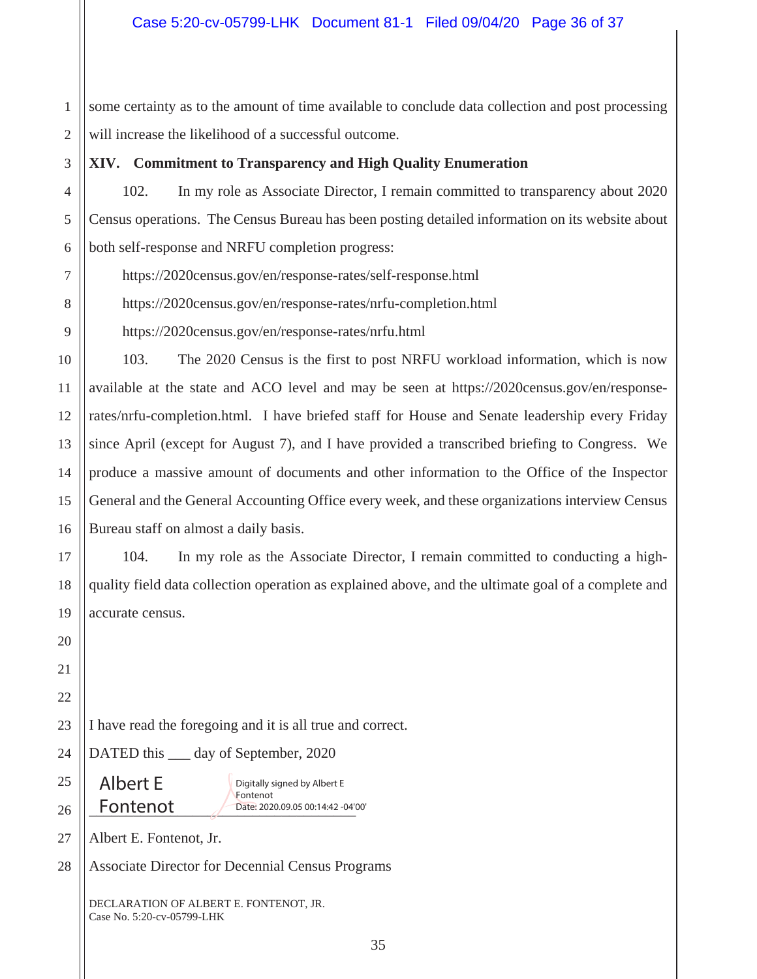1 2 some certainty as to the amount of time available to conclude data collection and post processing will increase the likelihood of a successful outcome.

**XIV. Commitment to Transparency and High Quality Enumeration**

102. In my role as Associate Director, I remain committed to transparency about 2020 Census operations. The Census Bureau has been posting detailed information on its website about both self-response and NRFU completion progress:

https://2020census.gov/en/response-rates/self-response.html

https://2020census.gov/en/response-rates/nrfu-completion.html

https://2020census.gov/en/response-rates/nrfu.html

103. The 2020 Census is the first to post NRFU workload information, which is now available at the state and ACO level and may be seen at https://2020census.gov/en/responserates/nrfu-completion.html. I have briefed staff for House and Senate leadership every Friday since April (except for August 7), and I have provided a transcribed briefing to Congress. We produce a massive amount of documents and other information to the Office of the Inspector General and the General Accounting Office every week, and these organizations interview Census Bureau staff on almost a daily basis.

104. In my role as the Associate Director, I remain committed to conducting a highquality field data collection operation as explained above, and the ultimate goal of a complete and accurate census.

I have read the foregoing and it is all true and correct.

DATED this <u>equal</u> day of September, 2020

Albert E

Fontenot 2020.09.05 00:14:42 -04 Digitally signed by Albert E Fontenot Date: 2020.09.05 00:14:42 -04'00'

Albert E. Fontenot, Jr.

Associate Director for Decennial Census Programs

DECLARATION OF ALBERT E. FONTENOT, JR. Case No. 5:20-cv-05799-LHK